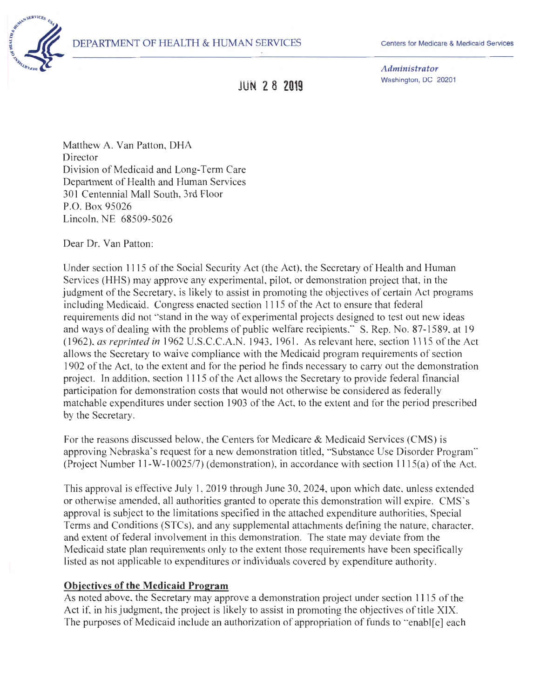

Centers for Medicare & Medicaid Services

*Administrator*  Washington, DC 20201

**JUN 2 8 2019** 

Matthew A. Van Patton, DHA Director Division of Medicaid and Long-Term Care Department of Health and Human Services 301 Centennial Mall South, 3rd Floor P.O. Box 95026 Lincoln, NE 68509-5026

Dear Dr. Van Patton:

Under section 1115 of the Social Security Act (the Act), the Secretary of Health and Human Services (HHS) may approve any experimental, pilot, or demonstration project that, in the judgment of the Secretary, is likely to assist in promoting the objectives of certain Act programs including Medicaid. Congress enacted section 1115 of the Act to ensure that federal requirements did not "stand in the way of experimental projects designed to test out new ideas and ways of dealing with the problems of public welfare recipients." S. Rep. No. 87-1589, at 19 ( 1962), *as reprinted in* 1962 U.S.C.C.A. . 1943, 1961. As relevant here, section 1115 of the Act allows the Secretary to waive compliance with the Medicaid program requirements of section 1902 of the Act, to the extent and for the period he finds necessary to carry out the demonstration project. In addition, section 1115 of the Act allows the Secretary to provide federal financial participation for demonstration costs that would not otherwise be considered as federally matchable expenditures under section 1903 of the Act, to the extent and for the period prescribed by the Secretary.

For the reasons discussed below, the Centers for Medicare & Medicaid Services (CMS) is approving Nebraska's request for a new demonstration titled, "Substance Use Disorder Program'' (Project Number 11-W-10025/7) (demonstration), in accordance with section l 115(a) of the Act.

This approval is effective July 1, 2019 through June 30, 2024, upon which date, unless extended or otherwise amended, all authorities granted to operate this demonstration will expire. CMS"s approval is subject to the limitations specified in the attached expenditure authorities, Special Terms and Conditions (STCs), and any supplemental attachments defining the nature, character, and extent of federal involvement in this demonstration. The state may deviate from the Medicaid state plan requirements only to the extent those requirements have been specifically listed as not applicable to expenditures or individuals covered by expenditure authority.

### **Objectives of the Medicaid Program**

As noted above, the Secretary may approve a demonstration project under section 1115 of the Act if, in his judgment, the project is likely to assist in promoting the objectives of title XIX. The purposes of Medicaid include an authorization of appropriation of funds to "enabl[e] each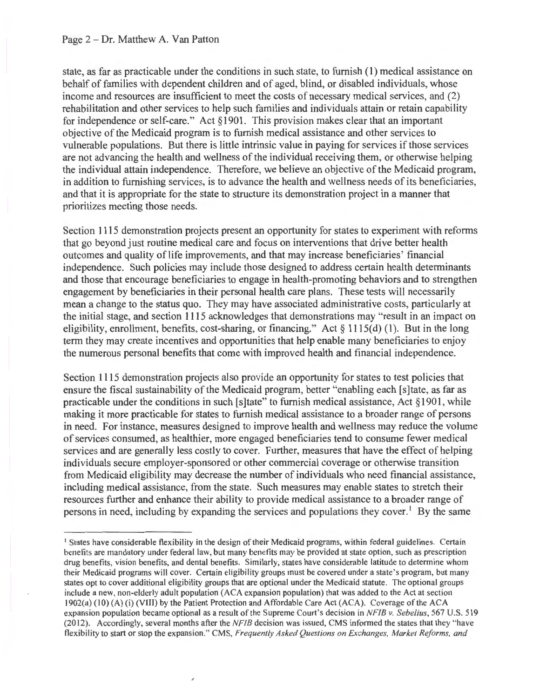state, as far as practicable under the conditions in such state, to furnish ( 1) medical assistance on behalf of families with dependent children and of aged, blind, or disabled individuals, whose income and resources are insufficient to meet the costs of necessary medical services, and (2) rehabilitation and other services to help such families and individuals attain or retain capability for independence or self-care." Act § 1901. This provision makes clear that an important objective of the Medicaid program is to furnish medical assistance and other services to vulnerable populations. But there is little intrinsic value in paying for services if those services are not advancing the health and wellness of the individual receiving them, or otherwise helping the individual attain independence. Therefore, we believe an objective of the Medicaid program, in addition to furnishing services, is to advance the health and wellness needs of its beneficiaries, and that it is appropriate for the state to structure its demonstration project in a manner that prioritizes meeting those needs.

Section 1115 demonstration projects present an opportunity for states to experiment with reforms that go beyond just routine medical care and focus on interventions that drive better health outcomes and quality of life improvements, and that may increase beneficiaries' financial independence. Such policies may include those designed to address certain health determinants and those that encourage beneficiaries to engage in health-promoting behaviors and to strengthen engagement by beneficiaries in their personal health care plans. These tests will necessarily mean a change to the status quo. They may have associated administrative costs, particularly at the initial stage, and section 1115 acknowledges that demonstrations may "result in an impact on eligibility, enrollment, benefits, cost-sharing, or financing." Act  $\S 1115(d)$  (1). But in the long term they may create incentives and opportunities that help enable many beneficiaries to enjoy the numerous personal benefits that come with improved health and financial independence.

Section 1115 demonstration projects also provide an opportunity for states to test policies that ensure the fiscal sustainability of the Medicaid program, better "enabling each [s]tate, as far as practicable under the conditions in such [s]tate" to furnish medical assistance, Act §1901, while making it more practicable for states to furnish medical assistance to a broader range of persons in need. For instance, measures designed to improve health and wellness may reduce the volume of services consumed, as healthier, more engaged beneficiaries tend to consume fewer medical services and are generally less costly to cover. Further, measures that have the effect of helping individuals secure employer-sponsored or other commercial coverage or otherwise transition from Medicaid eligibility may decrease the number of individuals who need financial assistance, including medical assistance, from the state. Such measures may enable states to stretch their resources further and enhance their ability to provide medical assistance to a broader range of persons in need, including by expanding the services and populations they cover.<sup>1</sup> By the same

<sup>&</sup>lt;sup>1</sup> States have considerable flexibility in the design of their Medicaid programs, within federal guidelines. Certain benefits are mandatory under federal law, but many benefits may be provided at state option, such as prescription drug benefits, vision benefits, and dental benefits. Similarly, states have considerable latitude to detennine whom their Medicaid programs will cover. Certain eligibility groups must be covered under a state 's program, but many states opt to cover additional eligibility groups that are optional under the Medicaid statute. The optional groups include a new, non-elderly adult population (ACA expansion population) that was added to the Act at section I 902(a) ( I 0) (A) (i) (VIII) by the Patient Protection and Affordable Care Act (ACA). Coverage of the ACA expansion population became optional as a result of the Supreme Court's decision in *NFIB v. Sebelius,* 567 U.S. 519 (2012). Accordingly, several months after the  $NFIB$  decision was issued, CMS informed the states that they "have flexibility to start or stop the expansion ." CMS, *Frequently Asked Questions on Exchanges, Market Reforms. and*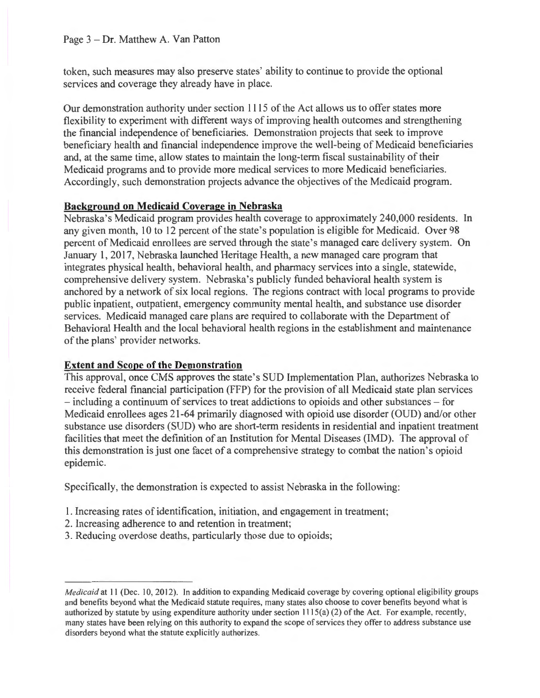token, such measures may also preserve states' ability to continue to provide the optional services and coverage they already have in place.

Our demonstration authority under section 1115 of the Act allows us to offer states more flexibility to experiment with different ways of improving health outcomes and strengthening the financial independence of beneficiaries. Demonstration projects that seek to improve beneficiary health and financial independence improve the well-being of Medicaid beneficiaries and, at the same time, allow states to maintain the long-term fiscal sustainability of their Medicaid programs and to provide more medical services to more Medicaid beneficiaries. Accordingly, such demonstration projects advance the objectives of the Medicaid program.

# **Background on Medicaid Coverage in Nebraska**

Nebraska's Medicaid program provides health coverage to approximately 240,000 residents. In any given month, 10 to 12 percent of the state's population is eligible for Medicaid. Over 98 percent of Medicaid enrollees are served through the state's managed care delivery system. On January 1, 2017, Nebraska launched Heritage Health, a new managed care program that integrates physical health, behavioral health, and pharmacy services into a single, statewide, comprehensive delivery system. Nebraska's publicly funded behavioral health system is anchored by a network of six local regions. The regions contract with local programs to provide public inpatient, outpatient, emergency community mental health, and substance use disorder services. Medicaid managed care plans are required to collaborate with the Department of Behavioral Health and the local behavioral health regions in the establishment and maintenance of the plans' provider networks.

# **Extent and Scope of the Demonstration**

This approval, once CMS approves the state's SUD Implementation Plan, authorizes Nebraska to receive federal financial participation (FFP) for the provision of all Medicaid state plan services - including a continuum of services to treat addictions to opioids and other substances - for Medicaid enrollees ages 21-64 primarily diagnosed with opioid use disorder (OUD) and/or other substance use disorders (SUD) who are short-term residents in residential and inpatient treatment facilities that meet the definition of an Institution for Mental Diseases (IMD). The approval of this demonstration is just one facet of a comprehensive strategy to combat the nation 's opioid epidemic.

Specifically, the demonstration is expected to assist Nebraska in the following:

- 1. Increasing rates of identification, initiation, and engagement in treatment;
- 2. Increasing adherence to and retention in treatment;
- 3. Reducing overdose deaths, particularly those due to opioids;

*Medicaid* at 11 (Dec. 10, 2012). In addition to expanding Medicaid coverage by covering optional eligibility groups and benefits beyond what the Medicaid statute requires, many states also choose to cover benefits beyond what is authorized by statute by using expenditure authority under section  $1115(a)$  (2) of the Act. For example, recently, many states have been relying on this authority to expand the scope of services they offer to address substance use disorders beyond what the statute explicitly authorizes.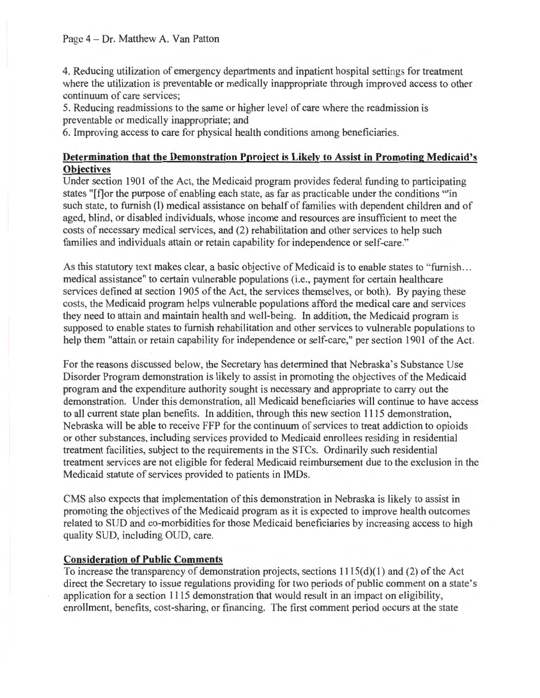4. Reducing utilization of emergency departments and inpatient hospital settings for treatment where the utilization is preventable or medically inappropriate through improved access to other continuum of care services;

5. Reducing readmissions to the same or higher level of care where the readmission is preventable or medically inappropriate; and

6. Improving access to care for physical health conditions among beneficiaries.

# **Determination that the Demonstration Pproject is Likely to Assist in Promoting Medicaid's Objectives**

Under section 1901 of the Act, the Medicaid program provides federal funding to participating states "[f]or the purpose of enabling each state, as far as practicable under the conditions "'in such state, to furnish (I) medical assistance on behalf of families with dependent children and of aged, blind, or disabled individuals, whose income and resources are insufficient to meet the costs of necessary medical services, and (2) rehabilitation and other services to help such families and individuals attain or retain capability for independence or self-care."

As this statutory text makes clear, a basic objective of Medicaid is to enable states to "furnish... medical assistance" to certain vulnerable populations (i.e. , payment for certain healthcare services defined at section 1905 of the Act, the services themselves, or both). By paying these costs, the Medicaid program helps vulnerable populations afford the medical care and services they need to attain and maintain health and well-being. In addition, the Medicaid program is supposed to enable states to furnish rehabilitation and other services to vulnerable populations to help them "attain or retain capability for independence or self-care," per section 1901 of the Act.

For the reasons discussed below, the Secretary has determined that Nebraska's Substance Use Disorder Program demonstration is likely to assist in promoting the objectives of the Medicaid program and the expenditure authority sought is necessary and appropriate to carry out the demonstration. Under this demonstration, all Medicaid beneficiaries will continue to have access to all current state plan benefits. In addition, through this new section 1115 demonstration, Nebraska will be able to receive FFP for the continuum of services to treat addiction to opioids or other substances, including services provided to Medicaid enrollees residing in residential treatment facilities, subject to the requirements in the STCs. Ordinarily such residential treatment services are not eligible for federal Medicaid reimbursement due to the exclusion in the Medicaid statute of services provided to patients in IMDs.

CMS also expects that implementation of this demonstration in Nebraska is likely to assist in promoting the objectives of the Medicaid program as it is expected to improve health outcomes related to SUD and co-morbidities for those Medicaid beneficiaries by increasing access to high quality SUD, including OUD, care.

# **Consideration of Public Comments**

To increase the transparency of demonstration projects, sections  $1115(d)(1)$  and (2) of the Act direct the Secretary to issue regulations providing for two periods of public comment on a state's application for a section 1115 demonstration that would result in an impact on eligibility, enrollment, benefits, cost-sharing, or financing. The first comment period occurs at the state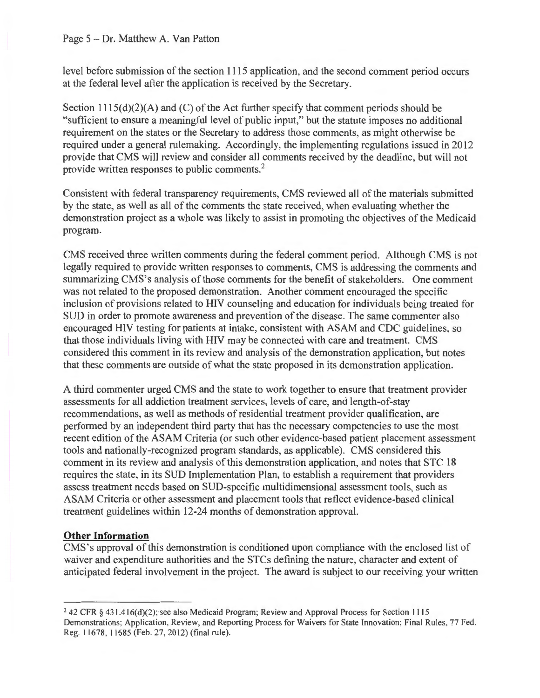level before submission of the section 1115 application, and the second comment period occurs at the federal level after the application is received by the Secretary.

Section  $1115(d)(2)(A)$  and (C) of the Act further specify that comment periods should be "sufficient to ensure a meaningful level of public input," but the statute imposes no additional requirement on the states or the Secretary to address those comments, as might otherwise be required under a general rulemaking. Accordingly, the implementing regulations issued in 2012 provide that CMS will review and consider all comments received by the deadline, but will not provide written responses to public comments.<sup>2</sup>

Consistent with federal transparency requirements, CMS reviewed all of the materials submitted by the state, as well as all of the comments the state received, when evaluating whether the demonstration project as a whole was likely to assist in promoting the objectives of the Medicaid program.

CMS received three written comments during the federal comment period. Although CMS is not legally required to provide written responses to comments, CMS is addressing the comments and summarizing CMS's analysis of those comments for the benefit of stakeholders. One comment was not related to the proposed demonstration. Another comment encouraged the specific inclusion of provisions related to HIV counseling and education for individuals being treated for SUD in order to promote awareness and prevention of the disease. The same commenter also encouraged HIV testing for patients at intake, consistent with ASAM and CDC guidelines, so that those individuals living with HIV may be connected with care and treatment. CMS considered this comment in its review and analysis of the demonstration application, but notes that these comments are outside of what the state proposed in its demonstration application.

A third commenter urged CMS and the state to work together to ensure that treatment provider assessments for all addiction treatment services, levels of care, and length-of-stay recommendations, as well as methods of residential treatment provider qualification, are performed by an independent third party that has the necessary competencies to use the most recent edition of the ASAM Criteria (or such other evidence-based patient placement assessment tools and nationally-recognized program standards, as applicable). CMS considered this comment in its review and analysis of this demonstration application, and notes that STC 18 requires the state, in its SUD Implementation Plan, to establish a requirement that providers assess treatment needs based on SUD-specific multidimensional assessment tools, such as ASAM Criteria or other assessment and placement tools that reflect evidence-based clinical treatment guidelines within 12-24 months of demonstration approval.

# **Other Information**

CMS's approval of this demonstration is conditioned upon compliance with the enclosed list of waiver and expenditure authorities and the STCs defining the nature, character and extent of anticipated federal involvement in the project. The award is subject to our receiving your written

<sup>&</sup>lt;sup>2</sup> 42 CFR § 431.416(d)(2); see also Medicaid Program; Review and Approval Process for Section 1115 Demonstrations; Application, Review, and Reporting Process for Waivers for State Innovation; Final Rules, 77 Fed. Reg. 11678, 11685 (Feb. 27, 2012) (final rule).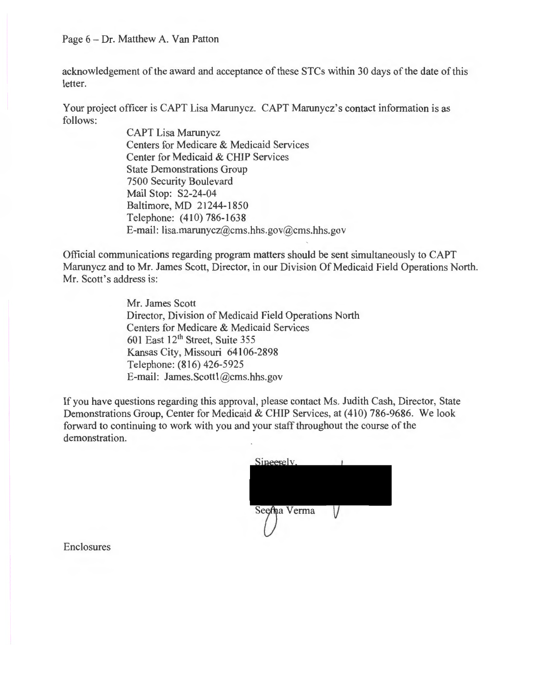#### Page 6 - Dr. Matthew A. Van Patton

acknowledgement of the award and acceptance of these STCs within 30 days of the date of this letter.

Your project officer is CAPT Lisa Marunycz. CAPT Marunycz's contact information is as follows:

> CAPT Lisa Marunycz Centers for Medicare & Medicaid Services Center for Medicaid & CHIP Services State Demonstrations Group 7500 Security Boulevard Mail Stop: S2-24-04 Baltimore, MD 21244-1850 Telephone: (410) 786-1638 E-mail: lisa.marunycz@cms.hhs.gov@cms.hhs.gov

Official communications regarding program matters should be sent simultaneously to CAPT Marunycz and to Mr. James Scott, Director, in our Division Of Medicaid Field Operations North. Mr. Scott's address is:

> Mr. James Scott Director, Division of Medicaid Field Operations North Centers for Medicare & Medicaid Services 601 East  $12<sup>th</sup>$  Street, Suite 355 Kansas City, Missouri 64106-2898 Telephone: (816) 426-5925 E-mail: James.Scottl @cms.hhs.gov

If you have questions regarding this approval, please contact Ms. Judith Cash, Director, State Demonstrations Group, Center for Medicaid & CHIP Services, at (410) 786-9686. We look forward to continuing to work with you and your staff throughout the course of the demonstration.

Enclosures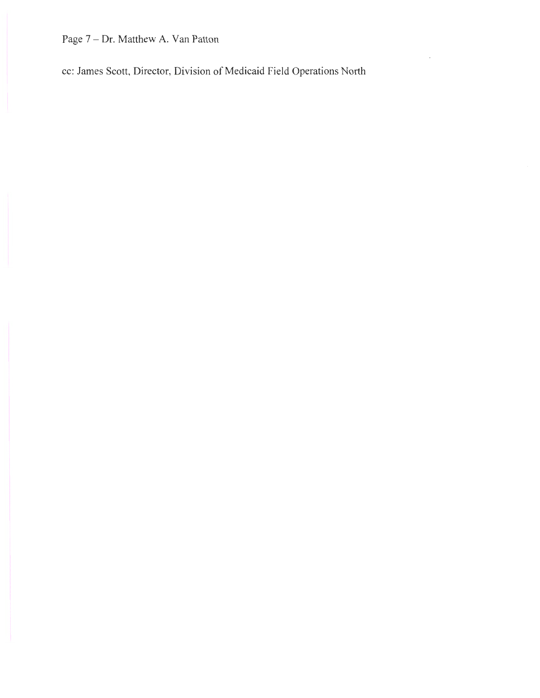Page 7 - Dr. Matthew A. Van Patton

cc: James Scott, Director, Division of Medicaid Field Operations North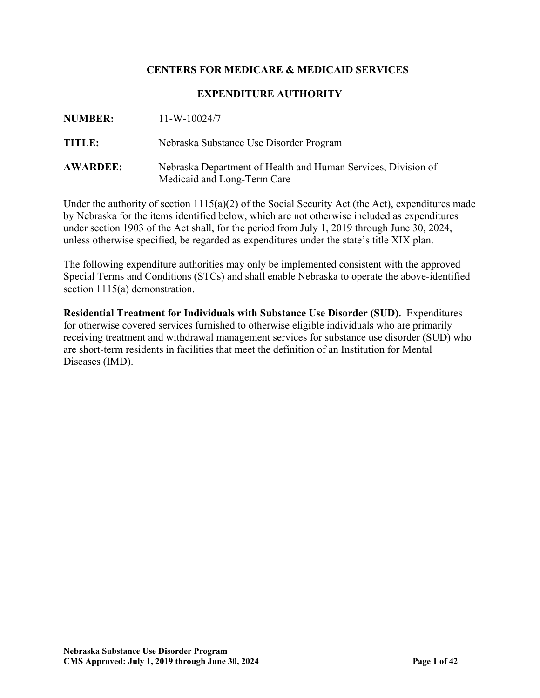# **CENTERS FOR MEDICARE & MEDICAID SERVICES**

### **EXPENDITURE AUTHORITY**

| <b>NUMBER:</b>  | $11-W-10024/7$                                                                               |
|-----------------|----------------------------------------------------------------------------------------------|
| <b>TITLE:</b>   | Nebraska Substance Use Disorder Program                                                      |
| <b>AWARDEE:</b> | Nebraska Department of Health and Human Services, Division of<br>Medicaid and Long-Term Care |

Under the authority of section 1115(a)(2) of the Social Security Act (the Act), expenditures made by Nebraska for the items identified below, which are not otherwise included as expenditures under section 1903 of the Act shall, for the period from July 1, 2019 through June 30, 2024, unless otherwise specified, be regarded as expenditures under the state's title XIX plan.

The following expenditure authorities may only be implemented consistent with the approved Special Terms and Conditions (STCs) and shall enable Nebraska to operate the above-identified section 1115(a) demonstration.

**Residential Treatment for Individuals with Substance Use Disorder (SUD).** Expenditures for otherwise covered services furnished to otherwise eligible individuals who are primarily receiving treatment and withdrawal management services for substance use disorder (SUD) who are short-term residents in facilities that meet the definition of an Institution for Mental Diseases (IMD).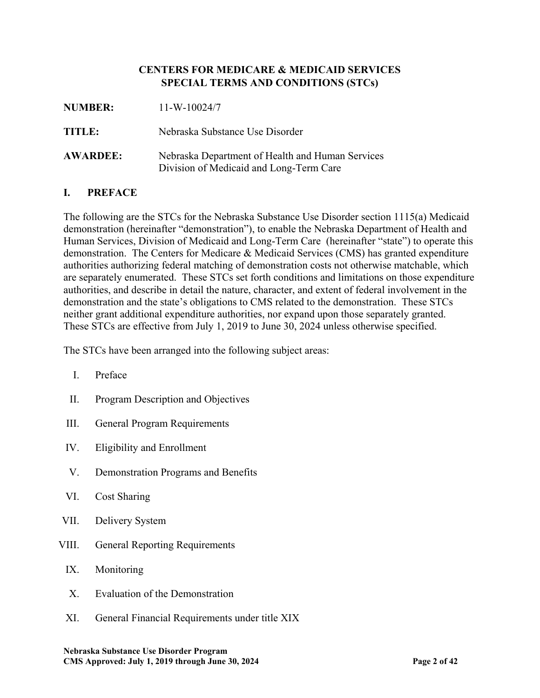## **CENTERS FOR MEDICARE & MEDICAID SERVICES SPECIAL TERMS AND CONDITIONS (STCs)**

| <b>NUMBER:</b>  | $11-W-10024/7$                                                                              |
|-----------------|---------------------------------------------------------------------------------------------|
| TITLE:          | Nebraska Substance Use Disorder                                                             |
| <b>AWARDEE:</b> | Nebraska Department of Health and Human Services<br>Division of Medicaid and Long-Term Care |

# **I. PREFACE**

The following are the STCs for the Nebraska Substance Use Disorder section 1115(a) Medicaid demonstration (hereinafter "demonstration"), to enable the Nebraska Department of Health and Human Services, Division of Medicaid and Long-Term Care (hereinafter "state") to operate this demonstration. The Centers for Medicare & Medicaid Services (CMS) has granted expenditure authorities authorizing federal matching of demonstration costs not otherwise matchable, which are separately enumerated. These STCs set forth conditions and limitations on those expenditure authorities, and describe in detail the nature, character, and extent of federal involvement in the demonstration and the state's obligations to CMS related to the demonstration. These STCs neither grant additional expenditure authorities, nor expand upon those separately granted. These STCs are effective from July 1, 2019 to June 30, 2024 unless otherwise specified.

The STCs have been arranged into the following subject areas:

- I. Preface
- II. Program Description and Objectives
- III. General Program Requirements
- IV. Eligibility and Enrollment
- <span id="page-8-0"></span>V. Demonstration Programs and Benefits
- VI. Cost Sharing
- VII. Delivery System
- <span id="page-8-1"></span>VIII. General Reporting Requirements
	- IX. Monitoring
	- X. Evaluation of the Demonstration
	- XI. General Financial Requirements under title XIX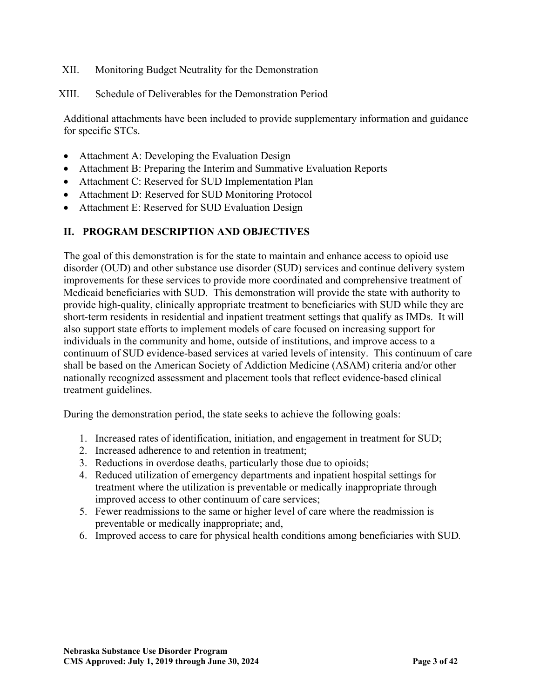- <span id="page-9-0"></span>XII. Monitoring Budget Neutrality for the Demonstration
- XIII. Schedule of Deliverables for the Demonstration Period

Additional attachments have been included to provide supplementary information and guidance for specific STCs.

- Attachment A: Developing the Evaluation Design
- Attachment B: Preparing the Interim and Summative Evaluation Reports
- Attachment C: Reserved for SUD Implementation Plan
- Attachment D: Reserved for SUD Monitoring Protocol
- Attachment E: Reserved for SUD Evaluation Design

# **II. PROGRAM DESCRIPTION AND OBJECTIVES**

The goal of this demonstration is for the state to maintain and enhance access to opioid use disorder (OUD) and other substance use disorder (SUD) services and continue delivery system improvements for these services to provide more coordinated and comprehensive treatment of Medicaid beneficiaries with SUD. This demonstration will provide the state with authority to provide high-quality, clinically appropriate treatment to beneficiaries with SUD while they are short-term residents in residential and inpatient treatment settings that qualify as IMDs. It will also support state efforts to implement models of care focused on increasing support for individuals in the community and home, outside of institutions, and improve access to a continuum of SUD evidence-based services at varied levels of intensity. This continuum of care shall be based on the American Society of Addiction Medicine (ASAM) criteria and/or other nationally recognized assessment and placement tools that reflect evidence-based clinical treatment guidelines.

During the demonstration period, the state seeks to achieve the following goals:

- 1. Increased rates of identification, initiation, and engagement in treatment for SUD;
- 2. Increased adherence to and retention in treatment;
- 3. Reductions in overdose deaths, particularly those due to opioids;
- 4. Reduced utilization of emergency departments and inpatient hospital settings for treatment where the utilization is preventable or medically inappropriate through improved access to other continuum of care services;
- 5. Fewer readmissions to the same or higher level of care where the readmission is preventable or medically inappropriate; and,
- 6. Improved access to care for physical health conditions among beneficiaries with SUD*.*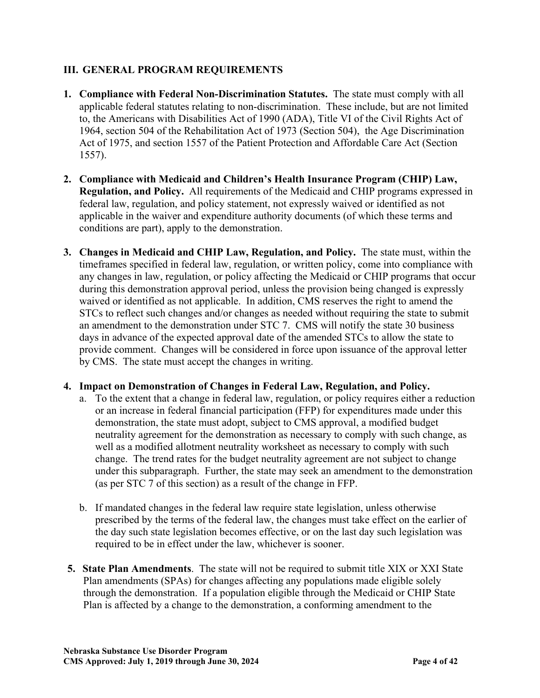# **III. GENERAL PROGRAM REQUIREMENTS**

- **1. Compliance with Federal Non-Discrimination Statutes.** The state must comply with all applicable federal statutes relating to non-discrimination. These include, but are not limited to, the Americans with Disabilities Act of 1990 (ADA), Title VI of the Civil Rights Act of 1964, section 504 of the Rehabilitation Act of 1973 (Section 504), the Age Discrimination Act of 1975, and section 1557 of the Patient Protection and Affordable Care Act (Section 1557).
- **2. Compliance with Medicaid and Children's Health Insurance Program (CHIP) Law, Regulation, and Policy.** All requirements of the Medicaid and CHIP programs expressed in federal law, regulation, and policy statement, not expressly waived or identified as not applicable in the waiver and expenditure authority documents (of which these terms and conditions are part), apply to the demonstration.
- **3. Changes in Medicaid and CHIP Law, Regulation, and Policy.** The state must, within the timeframes specified in federal law, regulation, or written policy, come into compliance with any changes in law, regulation, or policy affecting the Medicaid or CHIP programs that occur during this demonstration approval period, unless the provision being changed is expressly waived or identified as not applicable. In addition, CMS reserves the right to amend the STCs to reflect such changes and/or changes as needed without requiring the state to submit an amendment to the demonstration under STC 7. CMS will notify the state 30 business days in advance of the expected approval date of the amended STCs to allow the state to provide comment. Changes will be considered in force upon issuance of the approval letter by CMS. The state must accept the changes in writing.

# **4. Impact on Demonstration of Changes in Federal Law, Regulation, and Policy.**

- a. To the extent that a change in federal law, regulation, or policy requires either a reduction or an increase in federal financial participation (FFP) for expenditures made under this demonstration, the state must adopt, subject to CMS approval, a modified budget neutrality agreement for the demonstration as necessary to comply with such change, as well as a modified allotment neutrality worksheet as necessary to comply with such change. The trend rates for the budget neutrality agreement are not subject to change under this subparagraph. Further, the state may seek an amendment to the demonstration (as per STC 7 of this section) as a result of the change in FFP.
- b. If mandated changes in the federal law require state legislation, unless otherwise prescribed by the terms of the federal law, the changes must take effect on the earlier of the day such state legislation becomes effective, or on the last day such legislation was required to be in effect under the law, whichever is sooner.
- **5. State Plan Amendments**. The state will not be required to submit title XIX or XXI State Plan amendments (SPAs) for changes affecting any populations made eligible solely through the demonstration. If a population eligible through the Medicaid or CHIP State Plan is affected by a change to the demonstration, a conforming amendment to the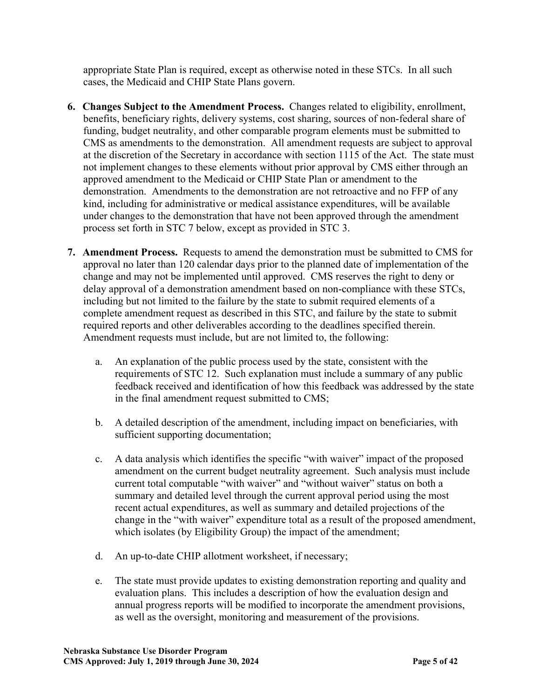appropriate State Plan is required, except as otherwise noted in these STCs. In all such cases, the Medicaid and CHIP State Plans govern.

- **6. Changes Subject to the Amendment Process.** Changes related to eligibility, enrollment, benefits, beneficiary rights, delivery systems, cost sharing, sources of non-federal share of funding, budget neutrality, and other comparable program elements must be submitted to CMS as amendments to the demonstration. All amendment requests are subject to approval at the discretion of the Secretary in accordance with section 1115 of the Act. The state must not implement changes to these elements without prior approval by CMS either through an approved amendment to the Medicaid or CHIP State Plan or amendment to the demonstration. Amendments to the demonstration are not retroactive and no FFP of any kind, including for administrative or medical assistance expenditures, will be available under changes to the demonstration that have not been approved through the amendment process set forth in STC 7 below, except as provided in STC 3.
- **7. Amendment Process.** Requests to amend the demonstration must be submitted to CMS for approval no later than 120 calendar days prior to the planned date of implementation of the change and may not be implemented until approved. CMS reserves the right to deny or delay approval of a demonstration amendment based on non-compliance with these STCs, including but not limited to the failure by the state to submit required elements of a complete amendment request as described in this STC, and failure by the state to submit required reports and other deliverables according to the deadlines specified therein. Amendment requests must include, but are not limited to, the following:
	- a. An explanation of the public process used by the state, consistent with the requirements of STC 12. Such explanation must include a summary of any public feedback received and identification of how this feedback was addressed by the state in the final amendment request submitted to CMS;
	- b. A detailed description of the amendment, including impact on beneficiaries, with sufficient supporting documentation;
	- c. A data analysis which identifies the specific "with waiver" impact of the proposed amendment on the current budget neutrality agreement. Such analysis must include current total computable "with waiver" and "without waiver" status on both a summary and detailed level through the current approval period using the most recent actual expenditures, as well as summary and detailed projections of the change in the "with waiver" expenditure total as a result of the proposed amendment, which isolates (by Eligibility Group) the impact of the amendment;
	- d. An up-to-date CHIP allotment worksheet, if necessary;
	- e. The state must provide updates to existing demonstration reporting and quality and evaluation plans. This includes a description of how the evaluation design and annual progress reports will be modified to incorporate the amendment provisions, as well as the oversight, monitoring and measurement of the provisions.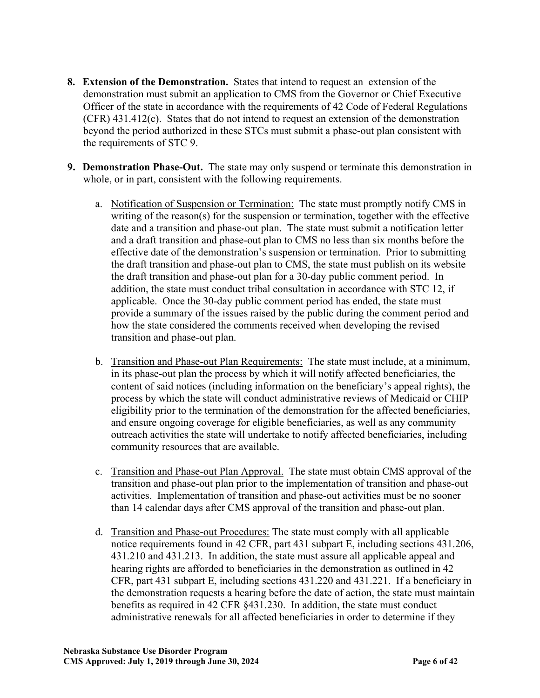- **8. Extension of the Demonstration.** States that intend to request an extension of the demonstration must submit an application to CMS from the Governor or Chief Executive Officer of the state in accordance with the requirements of 42 Code of Federal Regulations (CFR) 431.412(c). States that do not intend to request an extension of the demonstration beyond the period authorized in these STCs must submit a phase-out plan consistent with the requirements of STC 9.
- **9. Demonstration Phase-Out.** The state may only suspend or terminate this demonstration in whole, or in part, consistent with the following requirements.
	- a. Notification of Suspension or Termination: The state must promptly notify CMS in writing of the reason(s) for the suspension or termination, together with the effective date and a transition and phase-out plan. The state must submit a notification letter and a draft transition and phase-out plan to CMS no less than six months before the effective date of the demonstration's suspension or termination. Prior to submitting the draft transition and phase-out plan to CMS, the state must publish on its website the draft transition and phase-out plan for a 30-day public comment period. In addition, the state must conduct tribal consultation in accordance with STC 12, if applicable. Once the 30-day public comment period has ended, the state must provide a summary of the issues raised by the public during the comment period and how the state considered the comments received when developing the revised transition and phase-out plan.
	- b. Transition and Phase-out Plan Requirements: The state must include, at a minimum, in its phase-out plan the process by which it will notify affected beneficiaries, the content of said notices (including information on the beneficiary's appeal rights), the process by which the state will conduct administrative reviews of Medicaid or CHIP eligibility prior to the termination of the demonstration for the affected beneficiaries, and ensure ongoing coverage for eligible beneficiaries, as well as any community outreach activities the state will undertake to notify affected beneficiaries, including community resources that are available.
	- c. Transition and Phase-out Plan Approval. The state must obtain CMS approval of the transition and phase-out plan prior to the implementation of transition and phase-out activities. Implementation of transition and phase-out activities must be no sooner than 14 calendar days after CMS approval of the transition and phase-out plan.
	- d. Transition and Phase-out Procedures: The state must comply with all applicable notice requirements found in 42 CFR, part 431 subpart E, including sections 431.206, 431.210 and 431.213. In addition, the state must assure all applicable appeal and hearing rights are afforded to beneficiaries in the demonstration as outlined in 42 CFR, part 431 subpart E, including sections 431.220 and 431.221. If a beneficiary in the demonstration requests a hearing before the date of action, the state must maintain benefits as required in 42 CFR §431.230. In addition, the state must conduct administrative renewals for all affected beneficiaries in order to determine if they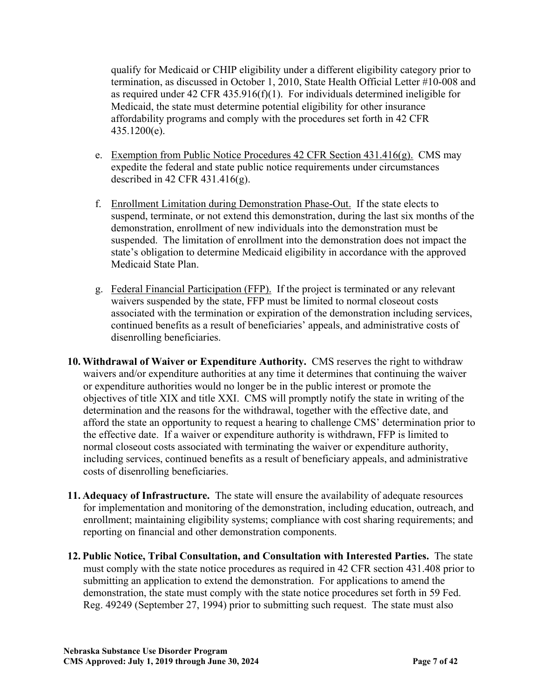qualify for Medicaid or CHIP eligibility under a different eligibility category prior to termination, as discussed in October 1, 2010, State Health Official Letter #10-008 and as required under 42 CFR 435.916(f)(1). For individuals determined ineligible for Medicaid, the state must determine potential eligibility for other insurance affordability programs and comply with the procedures set forth in 42 CFR 435.1200(e).

- e. Exemption from Public Notice Procedures  $42$  CFR Section  $431.416(g)$ . CMS may expedite the federal and state public notice requirements under circumstances described in 42 CFR 431.416(g).
- f. Enrollment Limitation during Demonstration Phase-Out. If the state elects to suspend, terminate, or not extend this demonstration, during the last six months of the demonstration, enrollment of new individuals into the demonstration must be suspended. The limitation of enrollment into the demonstration does not impact the state's obligation to determine Medicaid eligibility in accordance with the approved Medicaid State Plan.
- g. Federal Financial Participation (FFP). If the project is terminated or any relevant waivers suspended by the state, FFP must be limited to normal closeout costs associated with the termination or expiration of the demonstration including services, continued benefits as a result of beneficiaries' appeals, and administrative costs of disenrolling beneficiaries.
- **10. Withdrawal of Waiver or Expenditure Authority.** CMS reserves the right to withdraw waivers and/or expenditure authorities at any time it determines that continuing the waiver or expenditure authorities would no longer be in the public interest or promote the objectives of title XIX and title XXI. CMS will promptly notify the state in writing of the determination and the reasons for the withdrawal, together with the effective date, and afford the state an opportunity to request a hearing to challenge CMS' determination prior to the effective date. If a waiver or expenditure authority is withdrawn, FFP is limited to normal closeout costs associated with terminating the waiver or expenditure authority, including services, continued benefits as a result of beneficiary appeals, and administrative costs of disenrolling beneficiaries.
- **11. Adequacy of Infrastructure.** The state will ensure the availability of adequate resources for implementation and monitoring of the demonstration, including education, outreach, and enrollment; maintaining eligibility systems; compliance with cost sharing requirements; and reporting on financial and other demonstration components.
- **12. Public Notice, Tribal Consultation, and Consultation with Interested Parties.** The state must comply with the state notice procedures as required in 42 CFR section 431.408 prior to submitting an application to extend the demonstration. For applications to amend the demonstration, the state must comply with the state notice procedures set forth in 59 Fed. Reg. 49249 (September 27, 1994) prior to submitting such request. The state must also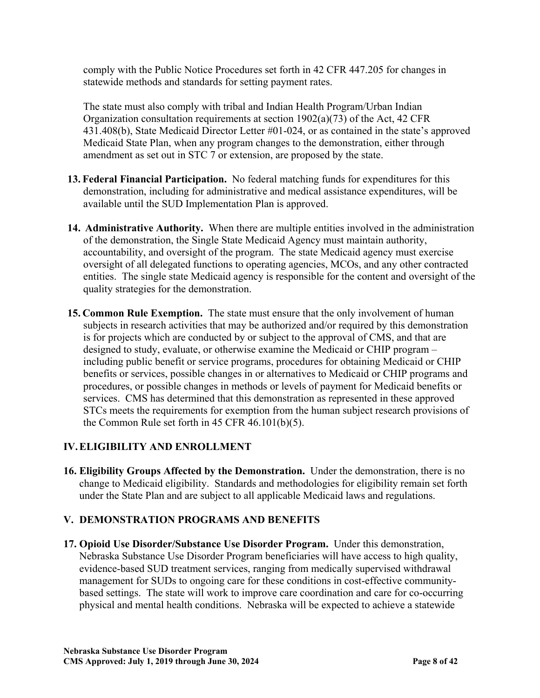comply with the Public Notice Procedures set forth in 42 CFR 447.205 for changes in statewide methods and standards for setting payment rates.

The state must also comply with tribal and Indian Health Program/Urban Indian Organization consultation requirements at section 1902(a)(73) of the Act, 42 CFR 431.408(b), State Medicaid Director Letter #01-024, or as contained in the state's approved Medicaid State Plan, when any program changes to the demonstration, either through amendment as set out in STC 7 or extension, are proposed by the state.

- **13. Federal Financial Participation.** No federal matching funds for expenditures for this demonstration, including for administrative and medical assistance expenditures, will be available until the SUD Implementation Plan is approved.
- **14. Administrative Authority.** When there are multiple entities involved in the administration of the demonstration, the Single State Medicaid Agency must maintain authority, accountability, and oversight of the program. The state Medicaid agency must exercise oversight of all delegated functions to operating agencies, MCOs, and any other contracted entities. The single state Medicaid agency is responsible for the content and oversight of the quality strategies for the demonstration.
- **15. Common Rule Exemption.** The state must ensure that the only involvement of human subjects in research activities that may be authorized and/or required by this demonstration is for projects which are conducted by or subject to the approval of CMS, and that are designed to study, evaluate, or otherwise examine the Medicaid or CHIP program – including public benefit or service programs, procedures for obtaining Medicaid or CHIP benefits or services, possible changes in or alternatives to Medicaid or CHIP programs and procedures, or possible changes in methods or levels of payment for Medicaid benefits or services. CMS has determined that this demonstration as represented in these approved STCs meets the requirements for exemption from the human subject research provisions of the Common Rule set forth in 45 CFR 46.101(b)(5).

# **IV.ELIGIBILITY AND ENROLLMENT**

**16. Eligibility Groups Affected by the Demonstration.** Under the demonstration, there is no change to Medicaid eligibility. Standards and methodologies for eligibility remain set forth under the State Plan and are subject to all applicable Medicaid laws and regulations.

# **[V.](#page-8-0) DEMONSTRATION PROGRAMS AND BENEFITS**

**17. Opioid Use Disorder/Substance Use Disorder Program.** Under this demonstration, Nebraska Substance Use Disorder Program beneficiaries will have access to high quality, evidence-based SUD treatment services, ranging from medically supervised withdrawal management for SUDs to ongoing care for these conditions in cost-effective communitybased settings. The state will work to improve care coordination and care for co-occurring physical and mental health conditions. Nebraska will be expected to achieve a statewide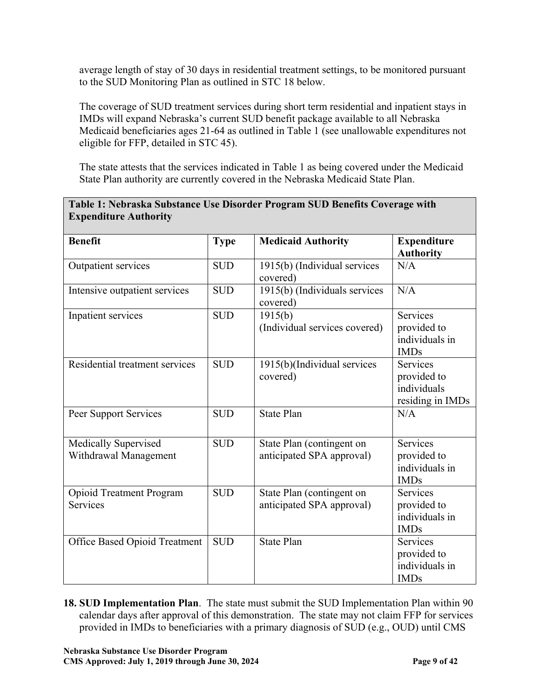average length of stay of 30 days in residential treatment settings, to be monitored pursuant to the SUD Monitoring Plan as outlined in STC 18 below.

The coverage of SUD treatment services during short term residential and inpatient stays in IMDs will expand Nebraska's current SUD benefit package available to all Nebraska Medicaid beneficiaries ages 21-64 as outlined in Table 1 (see unallowable expenditures not eligible for FFP, detailed in STC 45).

The state attests that the services indicated in Table 1 as being covered under the Medicaid State Plan authority are currently covered in the Nebraska Medicaid State Plan.

### **Table 1: Nebraska Substance Use Disorder Program SUD Benefits Coverage with Expenditure Authority**

| <b>Benefit</b>                                     | <b>Type</b> | <b>Medicaid Authority</b>                              | <b>Expenditure</b><br><b>Authority</b>                            |
|----------------------------------------------------|-------------|--------------------------------------------------------|-------------------------------------------------------------------|
| Outpatient services                                | <b>SUD</b>  | 1915(b) (Individual services<br>covered)               | N/A                                                               |
| Intensive outpatient services                      | <b>SUD</b>  | 1915(b) (Individuals services<br>covered)              | N/A                                                               |
| Inpatient services                                 | <b>SUD</b>  | 1915(b)<br>(Individual services covered)               | <b>Services</b><br>provided to<br>individuals in<br><b>IMDs</b>   |
| Residential treatment services                     | <b>SUD</b>  | 1915(b)(Individual services<br>covered)                | <b>Services</b><br>provided to<br>individuals<br>residing in IMDs |
| Peer Support Services                              | <b>SUD</b>  | <b>State Plan</b>                                      | N/A                                                               |
| Medically Supervised<br>Withdrawal Management      | <b>SUD</b>  | State Plan (contingent on<br>anticipated SPA approval) | <b>Services</b><br>provided to<br>individuals in<br><b>IMDs</b>   |
| <b>Opioid Treatment Program</b><br><b>Services</b> | <b>SUD</b>  | State Plan (contingent on<br>anticipated SPA approval) | <b>Services</b><br>provided to<br>individuals in<br><b>IMDs</b>   |
| Office Based Opioid Treatment                      | <b>SUD</b>  | <b>State Plan</b>                                      | Services<br>provided to<br>individuals in<br><b>IMDs</b>          |

**18. SUD Implementation Plan**. The state must submit the SUD Implementation Plan within 90 calendar days after approval of this demonstration. The state may not claim FFP for services provided in IMDs to beneficiaries with a primary diagnosis of SUD (e.g., OUD) until CMS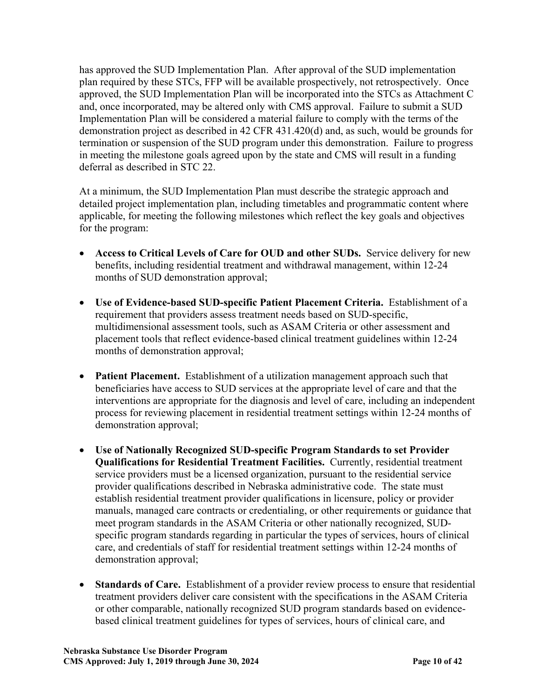has approved the SUD Implementation Plan. After approval of the SUD implementation plan required by these STCs, FFP will be available prospectively, not retrospectively. Once approved, the SUD Implementation Plan will be incorporated into the STCs as Attachment C and, once incorporated, may be altered only with CMS approval. Failure to submit a SUD Implementation Plan will be considered a material failure to comply with the terms of the demonstration project as described in 42 CFR 431.420(d) and, as such, would be grounds for termination or suspension of the SUD program under this demonstration. Failure to progress in meeting the milestone goals agreed upon by the state and CMS will result in a funding deferral as described in STC 22.

At a minimum, the SUD Implementation Plan must describe the strategic approach and detailed project implementation plan, including timetables and programmatic content where applicable, for meeting the following milestones which reflect the key goals and objectives for the program:

- **Access to Critical Levels of Care for OUD and other SUDs.** Service delivery for new benefits, including residential treatment and withdrawal management, within 12-24 months of SUD demonstration approval;
- **Use of Evidence-based SUD-specific Patient Placement Criteria.** Establishment of a requirement that providers assess treatment needs based on SUD-specific, multidimensional assessment tools, such as ASAM Criteria or other assessment and placement tools that reflect evidence-based clinical treatment guidelines within 12-24 months of demonstration approval;
- **Patient Placement.** Establishment of a utilization management approach such that beneficiaries have access to SUD services at the appropriate level of care and that the interventions are appropriate for the diagnosis and level of care, including an independent process for reviewing placement in residential treatment settings within 12-24 months of demonstration approval;
- **Use of Nationally Recognized SUD-specific Program Standards to set Provider Qualifications for Residential Treatment Facilities.** Currently, residential treatment service providers must be a licensed organization, pursuant to the residential service provider qualifications described in Nebraska administrative code. The state must establish residential treatment provider qualifications in licensure, policy or provider manuals, managed care contracts or credentialing, or other requirements or guidance that meet program standards in the ASAM Criteria or other nationally recognized, SUDspecific program standards regarding in particular the types of services, hours of clinical care, and credentials of staff for residential treatment settings within 12-24 months of demonstration approval;
- **Standards of Care.** Establishment of a provider review process to ensure that residential treatment providers deliver care consistent with the specifications in the ASAM Criteria or other comparable, nationally recognized SUD program standards based on evidencebased clinical treatment guidelines for types of services, hours of clinical care, and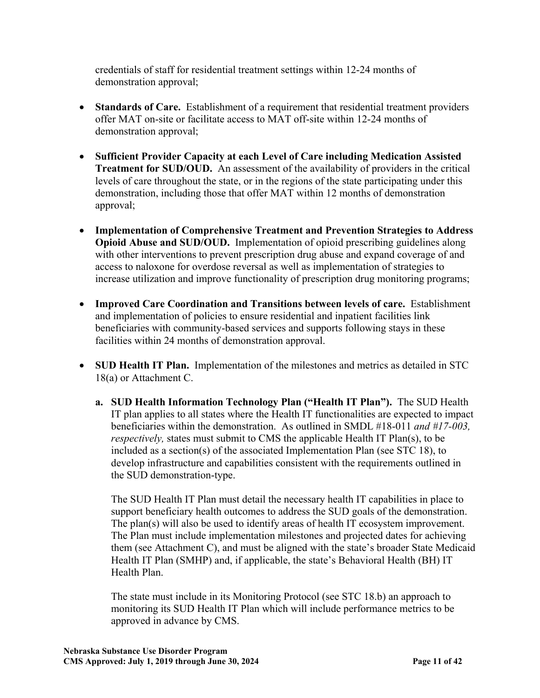credentials of staff for residential treatment settings within 12-24 months of demonstration approval;

- **Standards of Care.** Establishment of a requirement that residential treatment providers offer MAT on-site or facilitate access to MAT off-site within 12-24 months of demonstration approval;
- **Sufficient Provider Capacity at each Level of Care including Medication Assisted Treatment for SUD/OUD.** An assessment of the availability of providers in the critical levels of care throughout the state, or in the regions of the state participating under this demonstration, including those that offer MAT within 12 months of demonstration approval;
- **Implementation of Comprehensive Treatment and Prevention Strategies to Address Opioid Abuse and SUD/OUD.** Implementation of opioid prescribing guidelines along with other interventions to prevent prescription drug abuse and expand coverage of and access to naloxone for overdose reversal as well as implementation of strategies to increase utilization and improve functionality of prescription drug monitoring programs;
- **Improved Care Coordination and Transitions between levels of care.** Establishment and implementation of policies to ensure residential and inpatient facilities link beneficiaries with community-based services and supports following stays in these facilities within 24 months of demonstration approval.
- **SUD Health IT Plan.** Implementation of the milestones and metrics as detailed in STC 18(a) or Attachment C.
	- **a. SUD Health Information Technology Plan ("Health IT Plan").** The SUD Health IT plan applies to all states where the Health IT functionalities are expected to impact beneficiaries within the demonstration. As outlined in SMDL #18-011 *and #17-003, respectively*, states must submit to CMS the applicable Health IT Plan(s), to be included as a section(s) of the associated Implementation Plan (see STC 18), to develop infrastructure and capabilities consistent with the requirements outlined in the SUD demonstration-type.

The SUD Health IT Plan must detail the necessary health IT capabilities in place to support beneficiary health outcomes to address the SUD goals of the demonstration. The plan(s) will also be used to identify areas of health IT ecosystem improvement. The Plan must include implementation milestones and projected dates for achieving them (see Attachment C), and must be aligned with the state's broader State Medicaid Health IT Plan (SMHP) and, if applicable, the state's Behavioral Health (BH) IT Health Plan.

The state must include in its Monitoring Protocol (see STC 18.b) an approach to monitoring its SUD Health IT Plan which will include performance metrics to be approved in advance by CMS.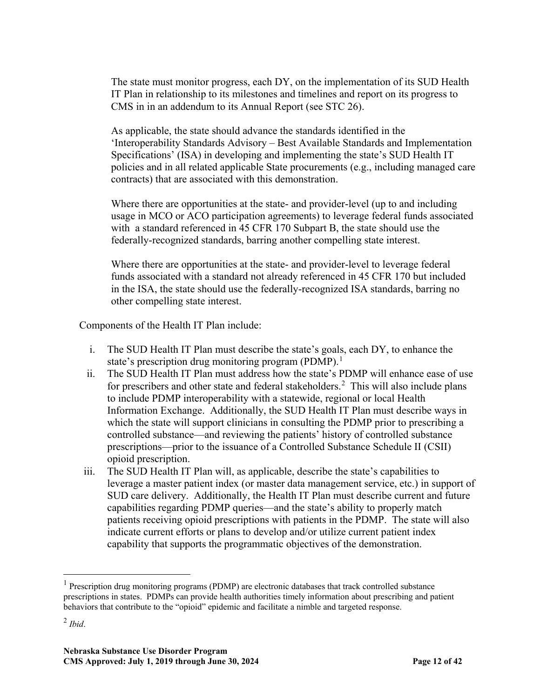The state must monitor progress, each DY, on the implementation of its SUD Health IT Plan in relationship to its milestones and timelines and report on its progress to CMS in in an addendum to its Annual Report (see STC 26).

As applicable, the state should advance the standards identified in the 'Interoperability Standards Advisory – Best Available Standards and Implementation Specifications' (ISA) in developing and implementing the state's SUD Health IT policies and in all related applicable State procurements (e.g., including managed care contracts) that are associated with this demonstration.

Where there are opportunities at the state- and provider-level (up to and including usage in MCO or ACO participation agreements) to leverage federal funds associated with a standard referenced in 45 CFR 170 Subpart B, the state should use the federally-recognized standards, barring another compelling state interest.

Where there are opportunities at the state- and provider-level to leverage federal funds associated with a standard not already referenced in 45 CFR 170 but included in the ISA, the state should use the federally-recognized ISA standards, barring no other compelling state interest.

Components of the Health IT Plan include:

- i. The SUD Health IT Plan must describe the state's goals, each DY, to enhance the state's prescription drug monitoring program (PDMP).<sup>[1](#page-18-0)</sup>
- ii. The SUD Health IT Plan must address how the state's PDMP will enhance ease of use for prescribers and other state and federal stakeholders.<sup>[2](#page-18-1)</sup> This will also include plans to include PDMP interoperability with a statewide, regional or local Health Information Exchange. Additionally, the SUD Health IT Plan must describe ways in which the state will support clinicians in consulting the PDMP prior to prescribing a controlled substance—and reviewing the patients' history of controlled substance prescriptions—prior to the issuance of a Controlled Substance Schedule II (CSII) opioid prescription.
- iii. The SUD Health IT Plan will, as applicable, describe the state's capabilities to leverage a master patient index (or master data management service, etc.) in support of SUD care delivery. Additionally, the Health IT Plan must describe current and future capabilities regarding PDMP queries—and the state's ability to properly match patients receiving opioid prescriptions with patients in the PDMP. The state will also indicate current efforts or plans to develop and/or utilize current patient index capability that supports the programmatic objectives of the demonstration.

<span id="page-18-0"></span><sup>&</sup>lt;sup>1</sup> Prescription drug monitoring programs (PDMP) are electronic databases that track controlled substance prescriptions in states. PDMPs can provide health authorities timely information about prescribing and patient behaviors that contribute to the "opioid" epidemic and facilitate a nimble and targeted response.

<span id="page-18-1"></span> $<sup>2</sup>$  *Ibid.*</sup>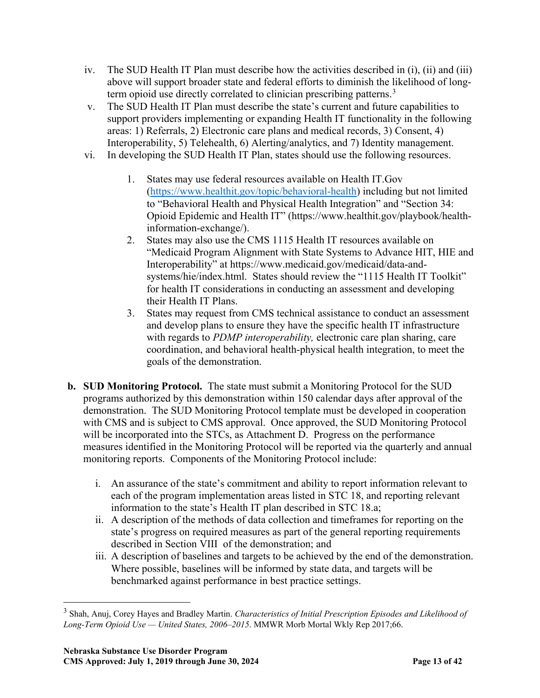- iv. The SUD Health IT Plan must describe how the activities described in (i), (ii) and (iii) above will support broader state and federal efforts to diminish the likelihood of long-term opioid use directly correlated to clinician prescribing patterns.<sup>[3](#page-19-0)</sup>
- v. The SUD Health IT Plan must describe the state's current and future capabilities to support providers implementing or expanding Health IT functionality in the following areas: 1) Referrals, 2) Electronic care plans and medical records, 3) Consent, 4) Interoperability, 5) Telehealth, 6) Alerting/analytics, and 7) Identity management.
- vi. In developing the SUD Health IT Plan, states should use the following resources.
	- 1. States may use federal resources available on Health IT.Gov [\(https://www.healthit.gov/topic/behavioral-health\)](https://www.healthit.gov/topic/behavioral-health) including but not limited to "Behavioral Health and Physical Health Integration" and "Section 34: Opioid Epidemic and Health IT" (https://www.healthit.gov/playbook/healthinformation-exchange/).
	- 2. States may also use the CMS 1115 Health IT resources available on "Medicaid Program Alignment with State Systems to Advance HIT, HIE and Interoperability" at https://www.medicaid.gov/medicaid/data-andsystems/hie/index.html. States should review the "1115 Health IT Toolkit" for health IT considerations in conducting an assessment and developing their Health IT Plans.
	- 3. States may request from CMS technical assistance to conduct an assessment and develop plans to ensure they have the specific health IT infrastructure with regards to *PDMP interoperability,* electronic care plan sharing, care coordination, and behavioral health-physical health integration, to meet the goals of the demonstration.
- **b. SUD Monitoring Protocol.** The state must submit a Monitoring Protocol for the SUD programs authorized by this demonstration within 150 calendar days after approval of the demonstration. The SUD Monitoring Protocol template must be developed in cooperation with CMS and is subject to CMS approval. Once approved, the SUD Monitoring Protocol will be incorporated into the STCs, as Attachment D. Progress on the performance measures identified in the Monitoring Protocol will be reported via the quarterly and annual monitoring reports. Components of the Monitoring Protocol include:
	- i. An assurance of the state's commitment and ability to report information relevant to each of the program implementation areas listed in STC 18, and reporting relevant information to the state's Health IT plan described in STC 18.a;
	- ii. A description of the methods of data collection and timeframes for reporting on the state's progress on required measures as part of the general reporting requirements described in Section VIII of the demonstration; and
	- iii. A description of baselines and targets to be achieved by the end of the demonstration. Where possible, baselines will be informed by state data, and targets will be benchmarked against performance in best practice settings.

<span id="page-19-0"></span> <sup>3</sup> Shah, Anuj, Corey Hayes and Bradley Martin. *Characteristics of Initial Prescription Episodes and Likelihood of Long-Term Opioid Use — United States, 2006–2015*. MMWR Morb Mortal Wkly Rep 2017;66.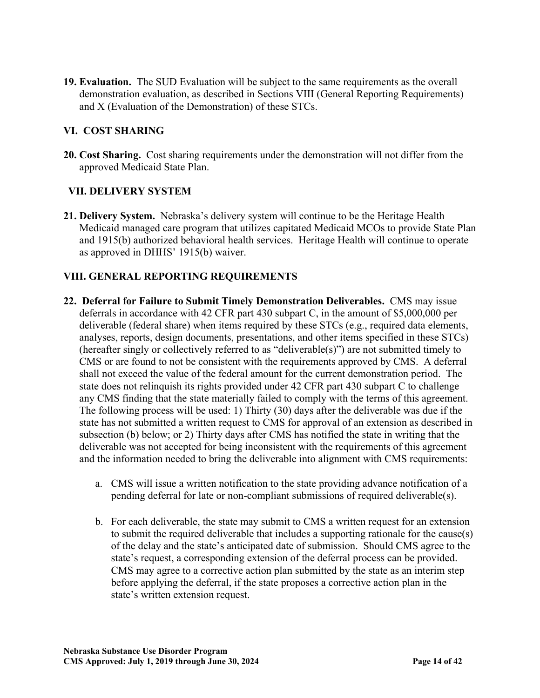**19. Evaluation.** The SUD Evaluation will be subject to the same requirements as the overall demonstration evaluation, as described in Sections VIII (General Reporting Requirements) and X (Evaluation of the Demonstration) of these STCs.

## **VI. COST SHARING**

**20. Cost Sharing.**Cost sharing requirements under the demonstration will not differ from the approved Medicaid State Plan.

## **VII. DELIVERY SYSTEM**

**21. Delivery System.** Nebraska's delivery system will continue to be the Heritage Health Medicaid managed care program that utilizes capitated Medicaid MCOs to provide State Plan and 1915(b) authorized behavioral health services. Heritage Health will continue to operate as approved in DHHS' 1915(b) waiver.

# **VIII. GENERAL REPORTING REQUIREMENTS**

- **22. Deferral for Failure to Submit Timely Demonstration Deliverables.** CMS may issue deferrals in accordance with 42 CFR part 430 subpart C, in the amount of \$5,000,000 per deliverable (federal share) when items required by these STCs (e.g., required data elements, analyses, reports, design documents, presentations, and other items specified in these STCs) (hereafter singly or collectively referred to as "deliverable(s)") are not submitted timely to CMS or are found to not be consistent with the requirements approved by CMS. A deferral shall not exceed the value of the federal amount for the current demonstration period. The state does not relinquish its rights provided under 42 CFR part 430 subpart C to challenge any CMS finding that the state materially failed to comply with the terms of this agreement. The following process will be used: 1) Thirty (30) days after the deliverable was due if the state has not submitted a written request to CMS for approval of an extension as described in subsection (b) below; or 2) Thirty days after CMS has notified the state in writing that the deliverable was not accepted for being inconsistent with the requirements of this agreement and the information needed to bring the deliverable into alignment with CMS requirements:
	- a. CMS will issue a written notification to the state providing advance notification of a pending deferral for late or non-compliant submissions of required deliverable(s).
	- b. For each deliverable, the state may submit to CMS a written request for an extension to submit the required deliverable that includes a supporting rationale for the cause(s) of the delay and the state's anticipated date of submission. Should CMS agree to the state's request, a corresponding extension of the deferral process can be provided. CMS may agree to a corrective action plan submitted by the state as an interim step before applying the deferral, if the state proposes a corrective action plan in the state's written extension request.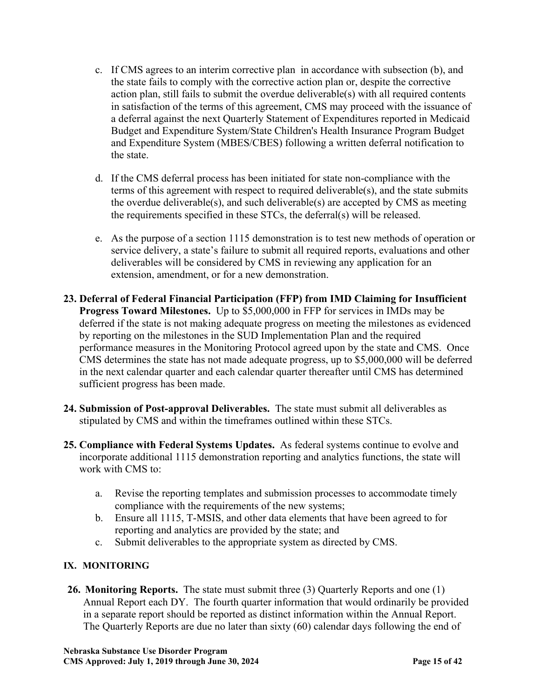- c. If CMS agrees to an interim corrective plan in accordance with subsection (b), and the state fails to comply with the corrective action plan or, despite the corrective action plan, still fails to submit the overdue deliverable(s) with all required contents in satisfaction of the terms of this agreement, CMS may proceed with the issuance of a deferral against the next Quarterly Statement of Expenditures reported in Medicaid Budget and Expenditure System/State Children's Health Insurance Program Budget and Expenditure System (MBES/CBES) following a written deferral notification to the state.
- d. If the CMS deferral process has been initiated for state non-compliance with the terms of this agreement with respect to required deliverable(s), and the state submits the overdue deliverable(s), and such deliverable(s) are accepted by CMS as meeting the requirements specified in these STCs, the deferral(s) will be released.
- e. As the purpose of a section 1115 demonstration is to test new methods of operation or service delivery, a state's failure to submit all required reports, evaluations and other deliverables will be considered by CMS in reviewing any application for an extension, amendment, or for a new demonstration.
- **23. Deferral of Federal Financial Participation (FFP) from IMD Claiming for Insufficient Progress Toward Milestones.** Up to \$5,000,000 in FFP for services in IMDs may be deferred if the state is not making adequate progress on meeting the milestones as evidenced by reporting on the milestones in the SUD Implementation Plan and the required performance measures in the Monitoring Protocol agreed upon by the state and CMS. Once CMS determines the state has not made adequate progress, up to \$5,000,000 will be deferred in the next calendar quarter and each calendar quarter thereafter until CMS has determined sufficient progress has been made.
- **24. Submission of Post-approval Deliverables.** The state must submit all deliverables as stipulated by CMS and within the timeframes outlined within these STCs.
- **25. Compliance with Federal Systems Updates.** As federal systems continue to evolve and incorporate additional 1115 demonstration reporting and analytics functions, the state will work with CMS to:
	- a. Revise the reporting templates and submission processes to accommodate timely compliance with the requirements of the new systems;
	- b. Ensure all 1115, T-MSIS, and other data elements that have been agreed to for reporting and analytics are provided by the state; and
	- c. Submit deliverables to the appropriate system as directed by CMS.

# **IX. MONITORING**

**26. Monitoring Reports.** The state must submit three (3) Quarterly Reports and one (1) Annual Report each DY. The fourth quarter information that would ordinarily be provided in a separate report should be reported as distinct information within the Annual Report. The Quarterly Reports are due no later than sixty (60) calendar days following the end of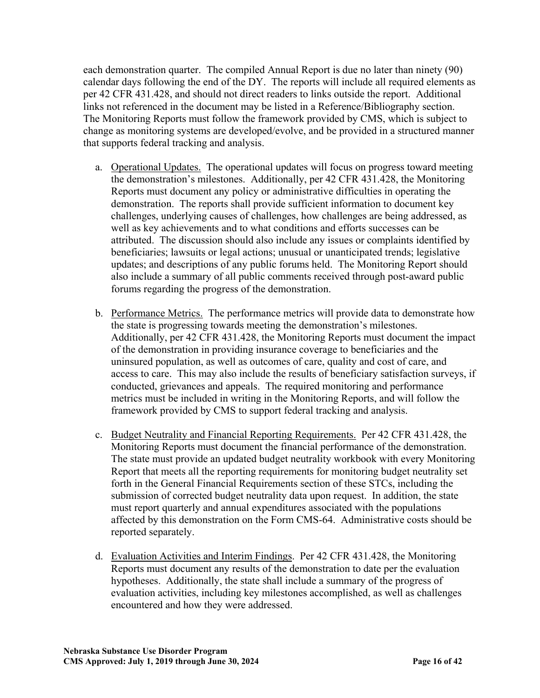each demonstration quarter. The compiled Annual Report is due no later than ninety (90) calendar days following the end of the DY. The reports will include all required elements as per 42 CFR 431.428, and should not direct readers to links outside the report. Additional links not referenced in the document may be listed in a Reference/Bibliography section. The Monitoring Reports must follow the framework provided by CMS, which is subject to change as monitoring systems are developed/evolve, and be provided in a structured manner that supports federal tracking and analysis.

- a. Operational Updates. The operational updates will focus on progress toward meeting the demonstration's milestones. Additionally, per 42 CFR 431.428, the Monitoring Reports must document any policy or administrative difficulties in operating the demonstration. The reports shall provide sufficient information to document key challenges, underlying causes of challenges, how challenges are being addressed, as well as key achievements and to what conditions and efforts successes can be attributed. The discussion should also include any issues or complaints identified by beneficiaries; lawsuits or legal actions; unusual or unanticipated trends; legislative updates; and descriptions of any public forums held. The Monitoring Report should also include a summary of all public comments received through post-award public forums regarding the progress of the demonstration.
- b. Performance Metrics. The performance metrics will provide data to demonstrate how the state is progressing towards meeting the demonstration's milestones. Additionally, per 42 CFR 431.428, the Monitoring Reports must document the impact of the demonstration in providing insurance coverage to beneficiaries and the uninsured population, as well as outcomes of care, quality and cost of care, and access to care. This may also include the results of beneficiary satisfaction surveys, if conducted, grievances and appeals. The required monitoring and performance metrics must be included in writing in the Monitoring Reports, and will follow the framework provided by CMS to support federal tracking and analysis.
- c. Budget Neutrality and Financial Reporting Requirements. Per 42 CFR 431.428, the Monitoring Reports must document the financial performance of the demonstration. The state must provide an updated budget neutrality workbook with every Monitoring Report that meets all the reporting requirements for monitoring budget neutrality set forth in the General Financial Requirements section of these STCs, including the submission of corrected budget neutrality data upon request. In addition, the state must report quarterly and annual expenditures associated with the populations affected by this demonstration on the Form CMS-64. Administrative costs should be reported separately.
- d. Evaluation Activities and Interim Findings. Per 42 CFR 431.428, the Monitoring Reports must document any results of the demonstration to date per the evaluation hypotheses. Additionally, the state shall include a summary of the progress of evaluation activities, including key milestones accomplished, as well as challenges encountered and how they were addressed.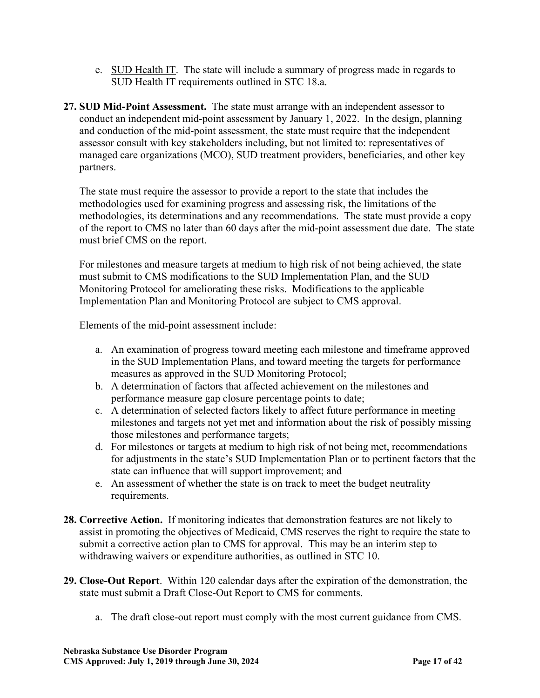- e. SUD Health IT. The state will include a summary of progress made in regards to SUD Health IT requirements outlined in STC 18.a.
- **27. SUD Mid-Point Assessment.** The state must arrange with an independent assessor to conduct an independent mid-point assessment by January 1, 2022. In the design, planning and conduction of the mid-point assessment, the state must require that the independent assessor consult with key stakeholders including, but not limited to: representatives of managed care organizations (MCO), SUD treatment providers, beneficiaries, and other key partners.

The state must require the assessor to provide a report to the state that includes the methodologies used for examining progress and assessing risk, the limitations of the methodologies, its determinations and any recommendations. The state must provide a copy of the report to CMS no later than 60 days after the mid-point assessment due date. The state must brief CMS on the report.

For milestones and measure targets at medium to high risk of not being achieved, the state must submit to CMS modifications to the SUD Implementation Plan, and the SUD Monitoring Protocol for ameliorating these risks. Modifications to the applicable Implementation Plan and Monitoring Protocol are subject to CMS approval.

Elements of the mid-point assessment include:

- a. An examination of progress toward meeting each milestone and timeframe approved in the SUD Implementation Plans, and toward meeting the targets for performance measures as approved in the SUD Monitoring Protocol;
- b. A determination of factors that affected achievement on the milestones and performance measure gap closure percentage points to date;
- c. A determination of selected factors likely to affect future performance in meeting milestones and targets not yet met and information about the risk of possibly missing those milestones and performance targets;
- d. For milestones or targets at medium to high risk of not being met, recommendations for adjustments in the state's SUD Implementation Plan or to pertinent factors that the state can influence that will support improvement; and
- e. An assessment of whether the state is on track to meet the budget neutrality requirements.
- **28. Corrective Action.** If monitoring indicates that demonstration features are not likely to assist in promoting the objectives of Medicaid, CMS reserves the right to require the state to submit a corrective action plan to CMS for approval. This may be an interim step to withdrawing waivers or expenditure authorities, as outlined in STC 10.
- **29. Close-Out Report**. Within 120 calendar days after the expiration of the demonstration, the state must submit a Draft Close-Out Report to CMS for comments.
	- a. The draft close-out report must comply with the most current guidance from CMS.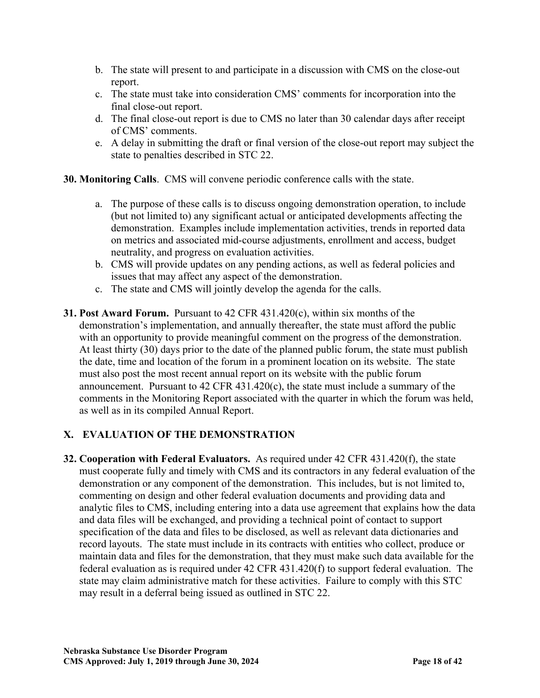- b. The state will present to and participate in a discussion with CMS on the close-out report.
- c. The state must take into consideration CMS' comments for incorporation into the final close-out report.
- d. The final close-out report is due to CMS no later than 30 calendar days after receipt of CMS' comments.
- e. A delay in submitting the draft or final version of the close-out report may subject the state to penalties described in STC 22.

**30. Monitoring Calls**. CMS will convene periodic conference calls with the state.

- a. The purpose of these calls is to discuss ongoing demonstration operation, to include (but not limited to) any significant actual or anticipated developments affecting the demonstration. Examples include implementation activities, trends in reported data on metrics and associated mid-course adjustments, enrollment and access, budget neutrality, and progress on evaluation activities.
- b. CMS will provide updates on any pending actions, as well as federal policies and issues that may affect any aspect of the demonstration.
- c. The state and CMS will jointly develop the agenda for the calls.
- **31. Post Award Forum.** Pursuant to 42 CFR 431.420(c), within six months of the demonstration's implementation, and annually thereafter, the state must afford the public with an opportunity to provide meaningful comment on the progress of the demonstration. At least thirty (30) days prior to the date of the planned public forum, the state must publish the date, time and location of the forum in a prominent location on its website. The state must also post the most recent annual report on its website with the public forum announcement. Pursuant to  $42 \text{ CFR } 431.420(c)$ , the state must include a summary of the comments in the Monitoring Report associated with the quarter in which the forum was held, as well as in its compiled Annual Report.

# **X. EVALUATION OF THE DEMONSTRATION**

**32. Cooperation with Federal Evaluators.** As required under 42 CFR 431.420(f), the state must cooperate fully and timely with CMS and its contractors in any federal evaluation of the demonstration or any component of the demonstration. This includes, but is not limited to, commenting on design and other federal evaluation documents and providing data and analytic files to CMS, including entering into a data use agreement that explains how the data and data files will be exchanged, and providing a technical point of contact to support specification of the data and files to be disclosed, as well as relevant data dictionaries and record layouts. The state must include in its contracts with entities who collect, produce or maintain data and files for the demonstration, that they must make such data available for the federal evaluation as is required under 42 CFR 431.420(f) to support federal evaluation. The state may claim administrative match for these activities. Failure to comply with this STC may result in a deferral being issued as outlined in STC 22.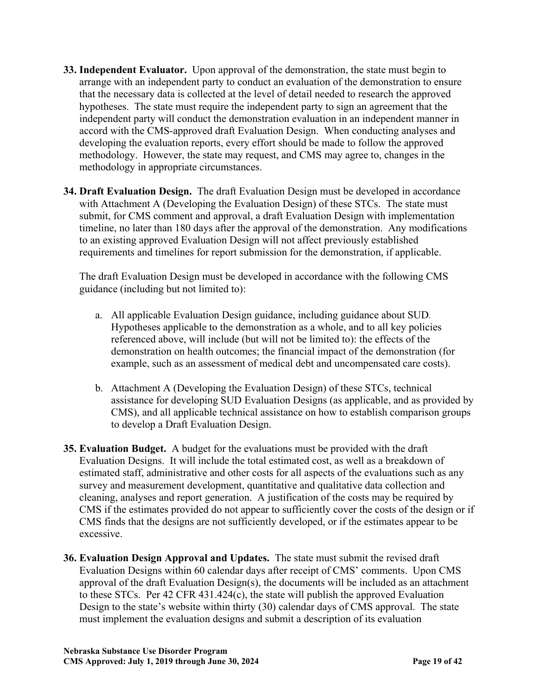- **33. Independent Evaluator.** Upon approval of the demonstration, the state must begin to arrange with an independent party to conduct an evaluation of the demonstration to ensure that the necessary data is collected at the level of detail needed to research the approved hypotheses. The state must require the independent party to sign an agreement that the independent party will conduct the demonstration evaluation in an independent manner in accord with the CMS-approved draft Evaluation Design. When conducting analyses and developing the evaluation reports, every effort should be made to follow the approved methodology. However, the state may request, and CMS may agree to, changes in the methodology in appropriate circumstances.
- **34. Draft Evaluation Design.** The draft Evaluation Design must be developed in accordance with Attachment A (Developing the Evaluation Design) of these STCs. The state must submit, for CMS comment and approval, a draft Evaluation Design with implementation timeline, no later than 180 days after the approval of the demonstration. Any modifications to an existing approved Evaluation Design will not affect previously established requirements and timelines for report submission for the demonstration, if applicable.

The draft Evaluation Design must be developed in accordance with the following CMS guidance (including but not limited to):

- a. All applicable Evaluation Design guidance, including guidance about SUD*.*  Hypotheses applicable to the demonstration as a whole, and to all key policies referenced above, will include (but will not be limited to): the effects of the demonstration on health outcomes; the financial impact of the demonstration (for example, such as an assessment of medical debt and uncompensated care costs).
- b. Attachment A (Developing the Evaluation Design) of these STCs, technical assistance for developing SUD Evaluation Designs (as applicable, and as provided by CMS), and all applicable technical assistance on how to establish comparison groups to develop a Draft Evaluation Design.
- **35. Evaluation Budget.** A budget for the evaluations must be provided with the draft Evaluation Designs. It will include the total estimated cost, as well as a breakdown of estimated staff, administrative and other costs for all aspects of the evaluations such as any survey and measurement development, quantitative and qualitative data collection and cleaning, analyses and report generation. A justification of the costs may be required by CMS if the estimates provided do not appear to sufficiently cover the costs of the design or if CMS finds that the designs are not sufficiently developed, or if the estimates appear to be excessive.
- **36. Evaluation Design Approval and Updates.** The state must submit the revised draft Evaluation Designs within 60 calendar days after receipt of CMS' comments. Upon CMS approval of the draft Evaluation Design(s), the documents will be included as an attachment to these STCs. Per 42 CFR 431.424(c), the state will publish the approved Evaluation Design to the state's website within thirty (30) calendar days of CMS approval. The state must implement the evaluation designs and submit a description of its evaluation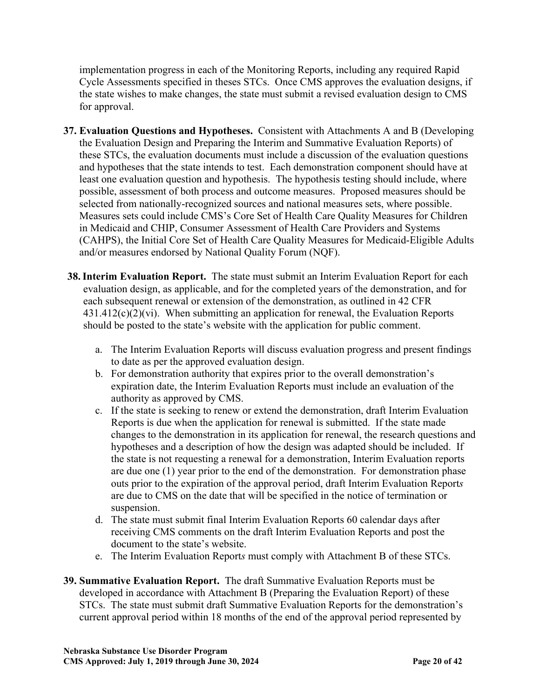implementation progress in each of the Monitoring Reports, including any required Rapid Cycle Assessments specified in theses STCs. Once CMS approves the evaluation designs, if the state wishes to make changes, the state must submit a revised evaluation design to CMS for approval.

- **37. Evaluation Questions and Hypotheses.** Consistent with Attachments A and B (Developing the Evaluation Design and Preparing the Interim and Summative Evaluation Reports) of these STCs, the evaluation documents must include a discussion of the evaluation questions and hypotheses that the state intends to test. Each demonstration component should have at least one evaluation question and hypothesis. The hypothesis testing should include, where possible, assessment of both process and outcome measures. Proposed measures should be selected from nationally-recognized sources and national measures sets, where possible. Measures sets could include CMS's Core Set of Health Care Quality Measures for Children in Medicaid and CHIP, Consumer Assessment of Health Care Providers and Systems (CAHPS), the Initial Core Set of Health Care Quality Measures for Medicaid-Eligible Adults and/or measures endorsed by National Quality Forum (NQF).
- **38.Interim Evaluation Report.** The state must submit an Interim Evaluation Report for each evaluation design, as applicable, and for the completed years of the demonstration, and for each subsequent renewal or extension of the demonstration, as outlined in 42 CFR  $431.412(c)(2)(vi)$ . When submitting an application for renewal, the Evaluation Reports should be posted to the state's website with the application for public comment.
	- a. The Interim Evaluation Reports will discuss evaluation progress and present findings to date as per the approved evaluation design.
	- b. For demonstration authority that expires prior to the overall demonstration's expiration date, the Interim Evaluation Reports must include an evaluation of the authority as approved by CMS.
	- c. If the state is seeking to renew or extend the demonstration, draft Interim Evaluation Reports is due when the application for renewal is submitted. If the state made changes to the demonstration in its application for renewal, the research questions and hypotheses and a description of how the design was adapted should be included. If the state is not requesting a renewal for a demonstration, Interim Evaluation reports are due one (1) year prior to the end of the demonstration. For demonstration phase outs prior to the expiration of the approval period, draft Interim Evaluation Report*s* are due to CMS on the date that will be specified in the notice of termination or suspension.
	- d. The state must submit final Interim Evaluation Reports 60 calendar days after receiving CMS comments on the draft Interim Evaluation Reports and post the document to the state's website.
	- e. The Interim Evaluation Report*s* must comply with Attachment B of these STCs.
- **39. Summative Evaluation Report.** The draft Summative Evaluation Reports must be developed in accordance with Attachment B (Preparing the Evaluation Report) of these STCs. The state must submit draft Summative Evaluation Reports for the demonstration's current approval period within 18 months of the end of the approval period represented by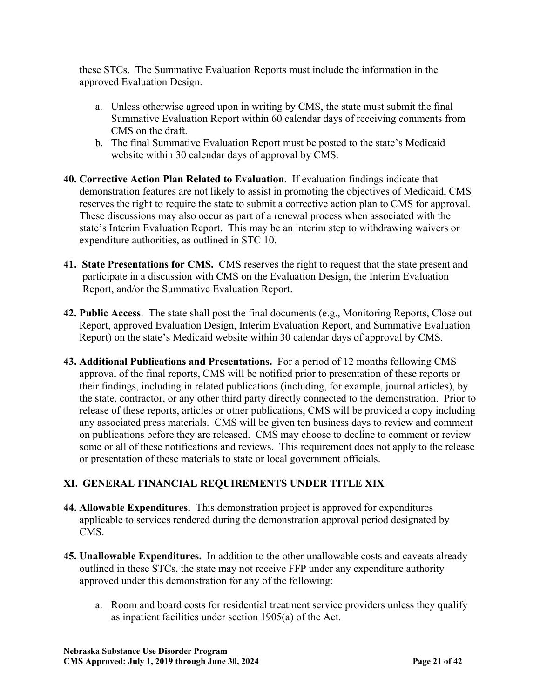these STCs. The Summative Evaluation Reports must include the information in the approved Evaluation Design.

- a. Unless otherwise agreed upon in writing by CMS, the state must submit the final Summative Evaluation Report within 60 calendar days of receiving comments from CMS on the draft.
- b. The final Summative Evaluation Report must be posted to the state's Medicaid website within 30 calendar days of approval by CMS.
- **40. Corrective Action Plan Related to Evaluation**. If evaluation findings indicate that demonstration features are not likely to assist in promoting the objectives of Medicaid, CMS reserves the right to require the state to submit a corrective action plan to CMS for approval. These discussions may also occur as part of a renewal process when associated with the state's Interim Evaluation Report. This may be an interim step to withdrawing waivers or expenditure authorities, as outlined in STC 10.
- **41. State Presentations for CMS.** CMS reserves the right to request that the state present and participate in a discussion with CMS on the Evaluation Design, the Interim Evaluation Report, and/or the Summative Evaluation Report.
- **42. Public Access**. The state shall post the final documents (e.g., Monitoring Reports, Close out Report, approved Evaluation Design, Interim Evaluation Report, and Summative Evaluation Report) on the state's Medicaid website within 30 calendar days of approval by CMS.
- **43. Additional Publications and Presentations.** For a period of 12 months following CMS approval of the final reports, CMS will be notified prior to presentation of these reports or their findings, including in related publications (including, for example, journal articles), by the state, contractor, or any other third party directly connected to the demonstration. Prior to release of these reports, articles or other publications, CMS will be provided a copy including any associated press materials. CMS will be given ten business days to review and comment on publications before they are released. CMS may choose to decline to comment or review some or all of these notifications and reviews. This requirement does not apply to the release or presentation of these materials to state or local government officials.

# **[XI.](#page-8-1) GENERAL FINANCIAL REQUIREMENTS UNDER TITLE XIX**

- **44. Allowable Expenditures.** This demonstration project is approved for expenditures applicable to services rendered during the demonstration approval period designated by CMS.
- **45. Unallowable Expenditures.** In addition to the other unallowable costs and caveats already outlined in these STCs, the state may not receive FFP under any expenditure authority approved under this demonstration for any of the following:
	- a. Room and board costs for residential treatment service providers unless they qualify as inpatient facilities under section 1905(a) of the Act.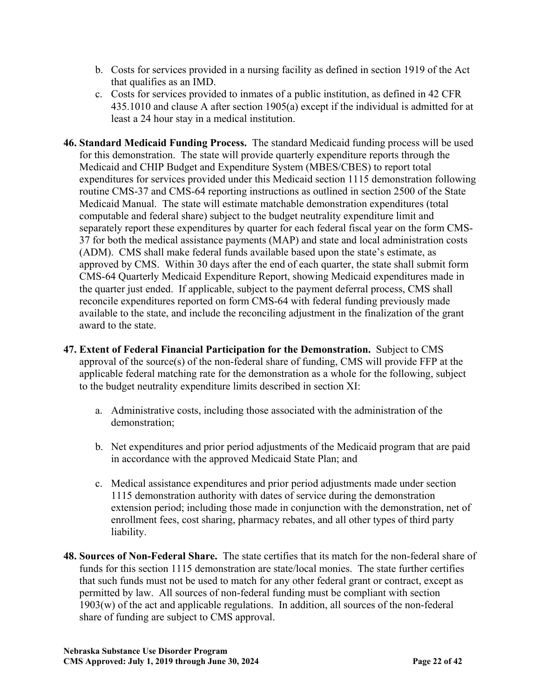- b. Costs for services provided in a nursing facility as defined in section 1919 of the Act that qualifies as an IMD.
- c. Costs for services provided to inmates of a public institution, as defined in 42 CFR 435.1010 and clause A after section 1905(a) except if the individual is admitted for at least a 24 hour stay in a medical institution.
- **46. Standard Medicaid Funding Process.** The standard Medicaid funding process will be used for this demonstration. The state will provide quarterly expenditure reports through the Medicaid and CHIP Budget and Expenditure System (MBES/CBES) to report total expenditures for services provided under this Medicaid section 1115 demonstration following routine CMS-37 and CMS-64 reporting instructions as outlined in section 2500 of the State Medicaid Manual. The state will estimate matchable demonstration expenditures (total computable and federal share) subject to the budget neutrality expenditure limit and separately report these expenditures by quarter for each federal fiscal year on the form CMS-37 for both the medical assistance payments (MAP) and state and local administration costs (ADM). CMS shall make federal funds available based upon the state's estimate, as approved by CMS. Within 30 days after the end of each quarter, the state shall submit form CMS-64 Quarterly Medicaid Expenditure Report, showing Medicaid expenditures made in the quarter just ended. If applicable, subject to the payment deferral process, CMS shall reconcile expenditures reported on form CMS-64 with federal funding previously made available to the state, and include the reconciling adjustment in the finalization of the grant award to the state.
- **47. Extent of Federal Financial Participation for the Demonstration.** Subject to CMS approval of the source(s) of the non-federal share of funding, CMS will provide FFP at the applicable federal matching rate for the demonstration as a whole for the following, subject to the budget neutrality expenditure limits described in section XI:
	- a. Administrative costs, including those associated with the administration of the demonstration;
	- b. Net expenditures and prior period adjustments of the Medicaid program that are paid in accordance with the approved Medicaid State Plan; and
	- c. Medical assistance expenditures and prior period adjustments made under section 1115 demonstration authority with dates of service during the demonstration extension period; including those made in conjunction with the demonstration, net of enrollment fees, cost sharing, pharmacy rebates, and all other types of third party liability.
- **48. Sources of Non-Federal Share.** The state certifies that its match for the non-federal share of funds for this section 1115 demonstration are state/local monies. The state further certifies that such funds must not be used to match for any other federal grant or contract, except as permitted by law. All sources of non-federal funding must be compliant with section 1903(w) of the act and applicable regulations. In addition, all sources of the non-federal share of funding are subject to CMS approval.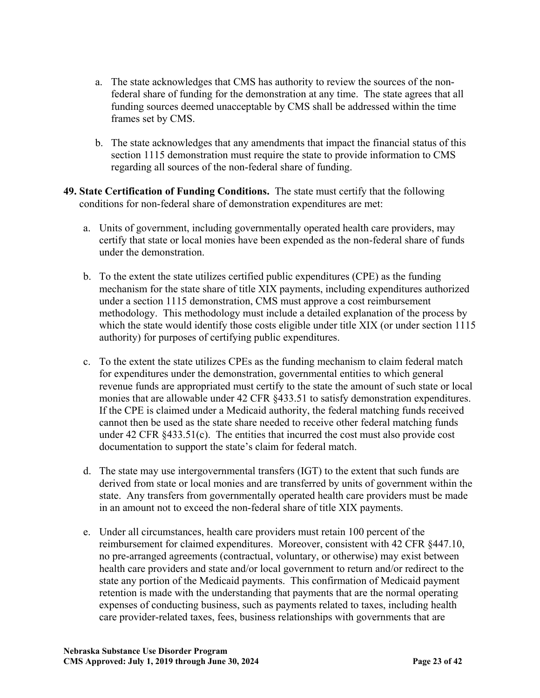- a. The state acknowledges that CMS has authority to review the sources of the nonfederal share of funding for the demonstration at any time. The state agrees that all funding sources deemed unacceptable by CMS shall be addressed within the time frames set by CMS.
- b. The state acknowledges that any amendments that impact the financial status of this section 1115 demonstration must require the state to provide information to CMS regarding all sources of the non-federal share of funding.
- **49. State Certification of Funding Conditions.** The state must certify that the following conditions for non-federal share of demonstration expenditures are met:
	- a. Units of government, including governmentally operated health care providers, may certify that state or local monies have been expended as the non-federal share of funds under the demonstration.
	- b. To the extent the state utilizes certified public expenditures (CPE) as the funding mechanism for the state share of title XIX payments, including expenditures authorized under a section 1115 demonstration, CMS must approve a cost reimbursement methodology. This methodology must include a detailed explanation of the process by which the state would identify those costs eligible under title XIX (or under section 1115 authority) for purposes of certifying public expenditures.
	- c. To the extent the state utilizes CPEs as the funding mechanism to claim federal match for expenditures under the demonstration, governmental entities to which general revenue funds are appropriated must certify to the state the amount of such state or local monies that are allowable under 42 CFR §433.51 to satisfy demonstration expenditures. If the CPE is claimed under a Medicaid authority, the federal matching funds received cannot then be used as the state share needed to receive other federal matching funds under 42 CFR §433.51(c). The entities that incurred the cost must also provide cost documentation to support the state's claim for federal match.
	- d. The state may use intergovernmental transfers (IGT) to the extent that such funds are derived from state or local monies and are transferred by units of government within the state. Any transfers from governmentally operated health care providers must be made in an amount not to exceed the non-federal share of title XIX payments.
	- e. Under all circumstances, health care providers must retain 100 percent of the reimbursement for claimed expenditures. Moreover, consistent with 42 CFR §447.10, no pre-arranged agreements (contractual, voluntary, or otherwise) may exist between health care providers and state and/or local government to return and/or redirect to the state any portion of the Medicaid payments. This confirmation of Medicaid payment retention is made with the understanding that payments that are the normal operating expenses of conducting business, such as payments related to taxes, including health care provider-related taxes, fees, business relationships with governments that are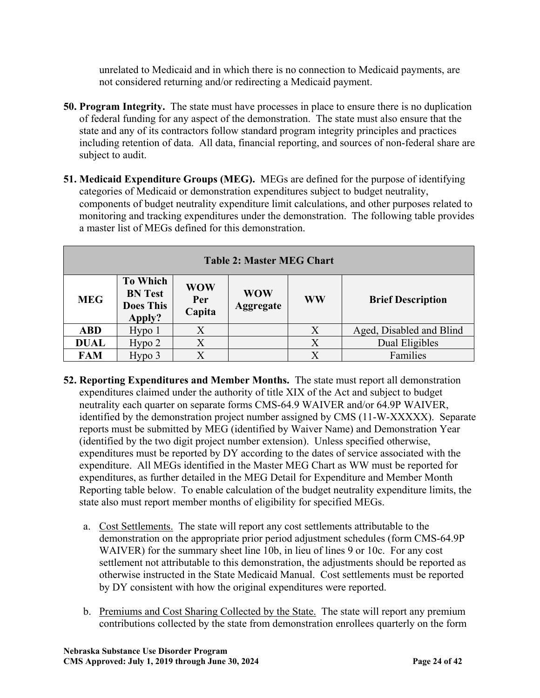unrelated to Medicaid and in which there is no connection to Medicaid payments, are not considered returning and/or redirecting a Medicaid payment.

- **50. Program Integrity.** The state must have processes in place to ensure there is no duplication of federal funding for any aspect of the demonstration. The state must also ensure that the state and any of its contractors follow standard program integrity principles and practices including retention of data. All data, financial reporting, and sources of non-federal share are subject to audit.
- **51. Medicaid Expenditure Groups (MEG).** MEGs are defined for the purpose of identifying categories of Medicaid or demonstration expenditures subject to budget neutrality, components of budget neutrality expenditure limit calculations, and other purposes related to monitoring and tracking expenditures under the demonstration. The following table provides a master list of MEGs defined for this demonstration.

| <b>Table 2: Master MEG Chart</b> |                                                                 |                             |                                |                           |                          |  |
|----------------------------------|-----------------------------------------------------------------|-----------------------------|--------------------------------|---------------------------|--------------------------|--|
| <b>MEG</b>                       | <b>To Which</b><br><b>BN</b> Test<br><b>Does This</b><br>Apply? | <b>WOW</b><br>Per<br>Capita | <b>WOW</b><br><b>Aggregate</b> | <b>WW</b>                 | <b>Brief Description</b> |  |
| <b>ABD</b>                       | Hypo <sub>1</sub>                                               | $\rm X$                     |                                |                           | Aged, Disabled and Blind |  |
| <b>DUAL</b>                      | Hypo <sub>2</sub>                                               | X                           |                                | $\rm X$                   | Dual Eligibles           |  |
| <b>FAM</b>                       | Hypo 3                                                          |                             |                                | $\boldsymbol{\mathsf{X}}$ | Families                 |  |

- **52. Reporting Expenditures and Member Months.** The state must report all demonstration expenditures claimed under the authority of title XIX of the Act and subject to budget neutrality each quarter on separate forms CMS-64.9 WAIVER and/or 64.9P WAIVER, identified by the demonstration project number assigned by CMS (11-W-XXXXX). Separate reports must be submitted by MEG (identified by Waiver Name) and Demonstration Year (identified by the two digit project number extension). Unless specified otherwise, expenditures must be reported by DY according to the dates of service associated with the expenditure. All MEGs identified in the Master MEG Chart as WW must be reported for expenditures, as further detailed in the MEG Detail for Expenditure and Member Month Reporting table below. To enable calculation of the budget neutrality expenditure limits, the state also must report member months of eligibility for specified MEGs.
	- a. Cost Settlements. The state will report any cost settlements attributable to the demonstration on the appropriate prior period adjustment schedules (form CMS-64.9P WAIVER) for the summary sheet line 10b, in lieu of lines 9 or 10c. For any cost settlement not attributable to this demonstration, the adjustments should be reported as otherwise instructed in the State Medicaid Manual. Cost settlements must be reported by DY consistent with how the original expenditures were reported.
	- b. Premiums and Cost Sharing Collected by the State. The state will report any premium contributions collected by the state from demonstration enrollees quarterly on the form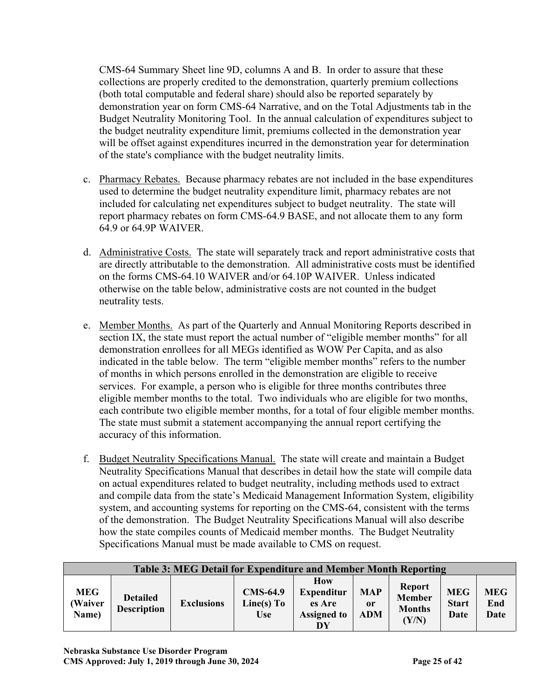CMS-64 Summary Sheet line 9D, columns A and B. In order to assure that these collections are properly credited to the demonstration, quarterly premium collections (both total computable and federal share) should also be reported separately by demonstration year on form CMS-64 Narrative, and on the Total Adjustments tab in the Budget Neutrality Monitoring Tool. In the annual calculation of expenditures subject to the budget neutrality expenditure limit, premiums collected in the demonstration year will be offset against expenditures incurred in the demonstration year for determination of the state's compliance with the budget neutrality limits.

- c. Pharmacy Rebates. Because pharmacy rebates are not included in the base expenditures used to determine the budget neutrality expenditure limit, pharmacy rebates are not included for calculating net expenditures subject to budget neutrality. The state will report pharmacy rebates on form CMS-64.9 BASE, and not allocate them to any form 64.9 or 64.9P WAIVER.
- d. Administrative Costs. The state will separately track and report administrative costs that are directly attributable to the demonstration. All administrative costs must be identified on the forms CMS-64.10 WAIVER and/or 64.10P WAIVER. Unless indicated otherwise on the table below, administrative costs are not counted in the budget neutrality tests.
- e. Member Months. As part of the Quarterly and Annual Monitoring Reports described in section IX, the state must report the actual number of "eligible member months" for all demonstration enrollees for all MEGs identified as WOW Per Capita, and as also indicated in the table below. The term "eligible member months" refers to the number of months in which persons enrolled in the demonstration are eligible to receive services. For example, a person who is eligible for three months contributes three eligible member months to the total. Two individuals who are eligible for two months, each contribute two eligible member months, for a total of four eligible member months. The state must submit a statement accompanying the annual report certifying the accuracy of this information.
- f. Budget Neutrality Specifications Manual. The state will create and maintain a Budget Neutrality Specifications Manual that describes in detail how the state will compile data on actual expenditures related to budget neutrality, including methods used to extract and compile data from the state's Medicaid Management Information System, eligibility system, and accounting systems for reporting on the CMS-64, consistent with the terms of the demonstration. The Budget Neutrality Specifications Manual will also describe how the state compiles counts of Medicaid member months. The Budget Neutrality Specifications Manual must be made available to CMS on request.

|                                | <b>Table 3: MEG Detail for Expenditure and Member Month Reporting</b> |                   |                                             |                                                                |                                |                                                          |                                    |                           |
|--------------------------------|-----------------------------------------------------------------------|-------------------|---------------------------------------------|----------------------------------------------------------------|--------------------------------|----------------------------------------------------------|------------------------------------|---------------------------|
| <b>MEG</b><br>(Waiver<br>Name) | <b>Detailed</b><br><b>Description</b>                                 | <b>Exclusions</b> | <b>CMS-64.9</b><br>Line(s) To<br><b>Use</b> | How<br><b>Expenditur</b><br>es Are<br><b>Assigned to</b><br>DY | <b>MAP</b><br>or<br><b>ADM</b> | <b>Report</b><br><b>Member</b><br><b>Months</b><br>(Y/N) | <b>MEG</b><br><b>Start</b><br>Date | <b>MEG</b><br>End<br>Date |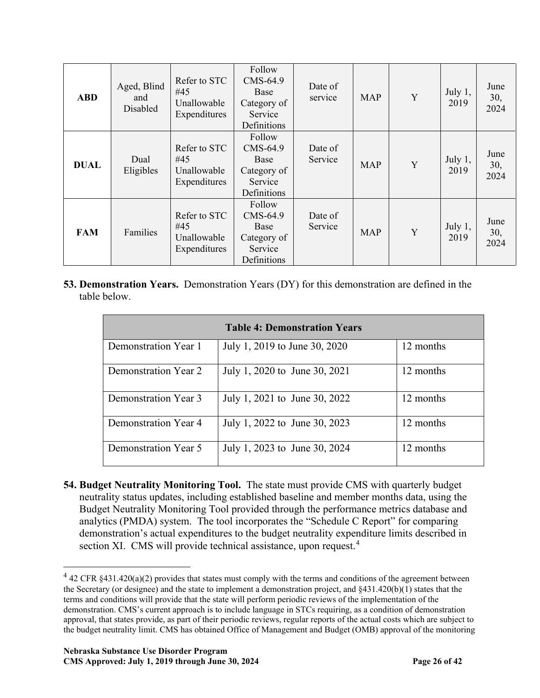| <b>ABD</b>  | Aged, Blind<br>and<br>Disabled | Refer to STC<br>#45<br>Unallowable<br>Expenditures | Follow<br>CMS-64.9<br>Base<br>Category of<br>Service<br>Definitions | Date of<br>service | <b>MAP</b> | Y | July 1,<br>2019   | June<br>30,<br>2024 |
|-------------|--------------------------------|----------------------------------------------------|---------------------------------------------------------------------|--------------------|------------|---|-------------------|---------------------|
| <b>DUAL</b> | Dual<br>Eligibles              | Refer to STC<br>#45<br>Unallowable<br>Expenditures | Follow<br>CMS-64.9<br>Base<br>Category of<br>Service<br>Definitions | Date of<br>Service | <b>MAP</b> | Y | July 1,<br>2019   | June<br>30,<br>2024 |
| <b>FAM</b>  | Families                       | Refer to STC<br>#45<br>Unallowable<br>Expenditures | Follow<br>CMS-64.9<br>Base<br>Category of<br>Service<br>Definitions | Date of<br>Service | <b>MAP</b> | Y | July $1,$<br>2019 | June<br>30,<br>2024 |

**53. Demonstration Years.** Demonstration Years (DY) for this demonstration are defined in the table below.

|                      | <b>Table 4: Demonstration Years</b> |           |
|----------------------|-------------------------------------|-----------|
| Demonstration Year 1 | July 1, 2019 to June 30, 2020       | 12 months |
| Demonstration Year 2 | July 1, 2020 to June 30, 2021       | 12 months |
| Demonstration Year 3 | July 1, 2021 to June 30, 2022       | 12 months |
| Demonstration Year 4 | July 1, 2022 to June 30, 2023       | 12 months |
| Demonstration Year 5 | July 1, 2023 to June 30, 2024       | 12 months |

**54. Budget Neutrality Monitoring Tool.** The state must provide CMS with quarterly budget neutrality status updates, including established baseline and member months data, using the Budget Neutrality Monitoring Tool provided through the performance metrics database and analytics (PMDA) system. The tool incorporates the "Schedule C Report" for comparing demonstration's actual expenditures to the budget neutrality expenditure limits described in section XI. CMS will provide technical assistance, upon request.<sup>[4](#page-32-0)</sup>

<span id="page-32-0"></span> $4$  42 CFR §431.420(a)(2) provides that states must comply with the terms and conditions of the agreement between the Secretary (or designee) and the state to implement a demonstration project, and  $\frac{8431.420(b)(1)}{1}$  states that the terms and conditions will provide that the state will perform periodic reviews of the implementation of the demonstration. CMS's current approach is to include language in STCs requiring, as a condition of demonstration approval, that states provide, as part of their periodic reviews, regular reports of the actual costs which are subject to the budget neutrality limit. CMS has obtained Office of Management and Budget (OMB) approval of the monitoring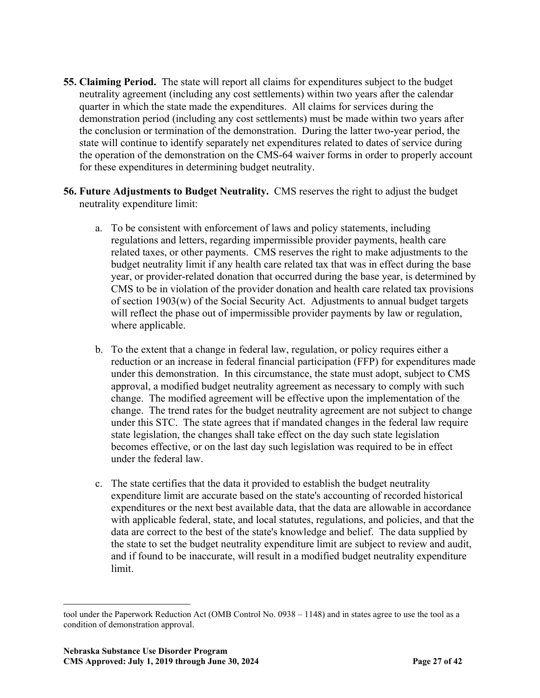- **55. Claiming Period.** The state will report all claims for expenditures subject to the budget neutrality agreement (including any cost settlements) within two years after the calendar quarter in which the state made the expenditures. All claims for services during the demonstration period (including any cost settlements) must be made within two years after the conclusion or termination of the demonstration. During the latter two-year period, the state will continue to identify separately net expenditures related to dates of service during the operation of the demonstration on the CMS-64 waiver forms in order to properly account for these expenditures in determining budget neutrality.
- **56. Future Adjustments to Budget Neutrality.** CMS reserves the right to adjust the budget neutrality expenditure limit:
	- a. To be consistent with enforcement of laws and policy statements, including regulations and letters, regarding impermissible provider payments, health care related taxes, or other payments. CMS reserves the right to make adjustments to the budget neutrality limit if any health care related tax that was in effect during the base year, or provider-related donation that occurred during the base year, is determined by CMS to be in violation of the provider donation and health care related tax provisions of section 1903(w) of the Social Security Act. Adjustments to annual budget targets will reflect the phase out of impermissible provider payments by law or regulation, where applicable.
	- b. To the extent that a change in federal law, regulation, or policy requires either a reduction or an increase in federal financial participation (FFP) for expenditures made under this demonstration. In this circumstance, the state must adopt, subject to CMS approval, a modified budget neutrality agreement as necessary to comply with such change. The modified agreement will be effective upon the implementation of the change. The trend rates for the budget neutrality agreement are not subject to change under this STC. The state agrees that if mandated changes in the federal law require state legislation, the changes shall take effect on the day such state legislation becomes effective, or on the last day such legislation was required to be in effect under the federal law.
	- c. The state certifies that the data it provided to establish the budget neutrality expenditure limit are accurate based on the state's accounting of recorded historical expenditures or the next best available data, that the data are allowable in accordance with applicable federal, state, and local statutes, regulations, and policies, and that the data are correct to the best of the state's knowledge and belief. The data supplied by the state to set the budget neutrality expenditure limit are subject to review and audit, and if found to be inaccurate, will result in a modified budget neutrality expenditure limit.

tool under the Paperwork Reduction Act (OMB Control No. 0938 – 1148) and in states agree to use the tool as a condition of demonstration approval.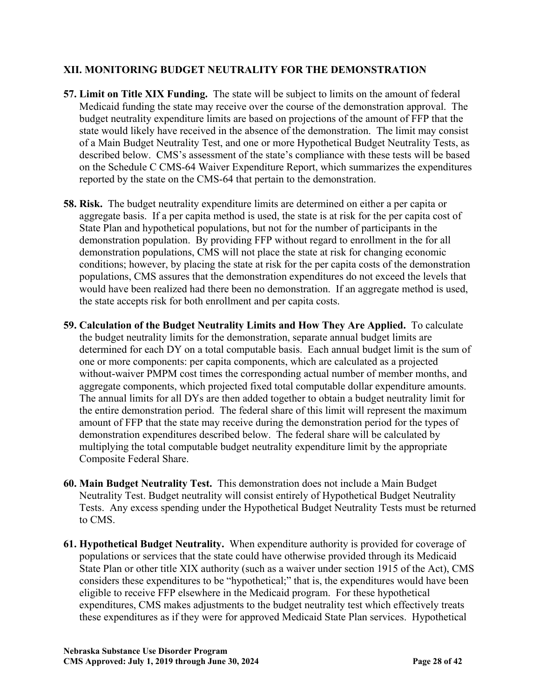## **[XII.](#page-9-0) MONITORING BUDGET NEUTRALITY FOR THE DEMONSTRATION**

- **57. Limit on Title XIX Funding.** The state will be subject to limits on the amount of federal Medicaid funding the state may receive over the course of the demonstration approval. The budget neutrality expenditure limits are based on projections of the amount of FFP that the state would likely have received in the absence of the demonstration. The limit may consist of a Main Budget Neutrality Test, and one or more Hypothetical Budget Neutrality Tests, as described below. CMS's assessment of the state's compliance with these tests will be based on the Schedule C CMS-64 Waiver Expenditure Report, which summarizes the expenditures reported by the state on the CMS-64 that pertain to the demonstration.
- **58. Risk.** The budget neutrality expenditure limits are determined on either a per capita or aggregate basis. If a per capita method is used, the state is at risk for the per capita cost of State Plan and hypothetical populations, but not for the number of participants in the demonstration population. By providing FFP without regard to enrollment in the for all demonstration populations, CMS will not place the state at risk for changing economic conditions; however, by placing the state at risk for the per capita costs of the demonstration populations, CMS assures that the demonstration expenditures do not exceed the levels that would have been realized had there been no demonstration. If an aggregate method is used, the state accepts risk for both enrollment and per capita costs.
- **59. Calculation of the Budget Neutrality Limits and How They Are Applied.** To calculate the budget neutrality limits for the demonstration, separate annual budget limits are determined for each DY on a total computable basis. Each annual budget limit is the sum of one or more components: per capita components, which are calculated as a projected without-waiver PMPM cost times the corresponding actual number of member months, and aggregate components, which projected fixed total computable dollar expenditure amounts. The annual limits for all DYs are then added together to obtain a budget neutrality limit for the entire demonstration period. The federal share of this limit will represent the maximum amount of FFP that the state may receive during the demonstration period for the types of demonstration expenditures described below. The federal share will be calculated by multiplying the total computable budget neutrality expenditure limit by the appropriate Composite Federal Share.
- **60. Main Budget Neutrality Test.** This demonstration does not include a Main Budget Neutrality Test. Budget neutrality will consist entirely of Hypothetical Budget Neutrality Tests. Any excess spending under the Hypothetical Budget Neutrality Tests must be returned to CMS.
- **61. Hypothetical Budget Neutrality.** When expenditure authority is provided for coverage of populations or services that the state could have otherwise provided through its Medicaid State Plan or other title XIX authority (such as a waiver under section 1915 of the Act), CMS considers these expenditures to be "hypothetical;" that is, the expenditures would have been eligible to receive FFP elsewhere in the Medicaid program. For these hypothetical expenditures, CMS makes adjustments to the budget neutrality test which effectively treats these expenditures as if they were for approved Medicaid State Plan services. Hypothetical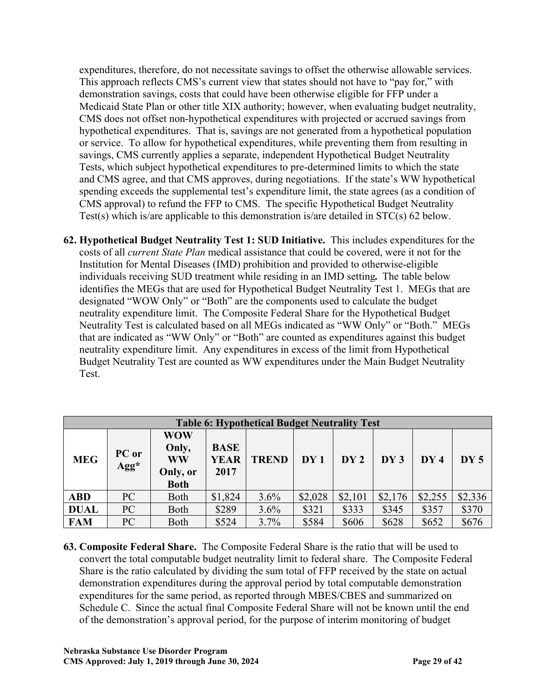expenditures, therefore, do not necessitate savings to offset the otherwise allowable services. This approach reflects CMS's current view that states should not have to "pay for," with demonstration savings, costs that could have been otherwise eligible for FFP under a Medicaid State Plan or other title XIX authority; however, when evaluating budget neutrality, CMS does not offset non-hypothetical expenditures with projected or accrued savings from hypothetical expenditures. That is, savings are not generated from a hypothetical population or service. To allow for hypothetical expenditures, while preventing them from resulting in savings, CMS currently applies a separate, independent Hypothetical Budget Neutrality Tests, which subject hypothetical expenditures to pre-determined limits to which the state and CMS agree, and that CMS approves, during negotiations. If the state's WW hypothetical spending exceeds the supplemental test's expenditure limit, the state agrees (as a condition of CMS approval) to refund the FFP to CMS. The specific Hypothetical Budget Neutrality Test(s) which is/are applicable to this demonstration is/are detailed in STC(s) 62 below.

**62. Hypothetical Budget Neutrality Test 1: SUD Initiative.** This includes expenditures for the costs of all *current State Plan* medical assistance that could be covered, were it not for the Institution for Mental Diseases (IMD) prohibition and provided to otherwise-eligible individuals receiving SUD treatment while residing in an IMD setting*.* The table below identifies the MEGs that are used for Hypothetical Budget Neutrality Test 1. MEGs that are designated "WOW Only" or "Both" are the components used to calculate the budget neutrality expenditure limit. The Composite Federal Share for the Hypothetical Budget Neutrality Test is calculated based on all MEGs indicated as "WW Only" or "Both." MEGs that are indicated as "WW Only" or "Both" are counted as expenditures against this budget neutrality expenditure limit. Any expenditures in excess of the limit from Hypothetical Budget Neutrality Test are counted as WW expenditures under the Main Budget Neutrality Test.

|             | <b>Table 6: Hypothetical Budget Neutrality Test</b> |                                                             |                                    |              |         |         |         |         |         |
|-------------|-----------------------------------------------------|-------------------------------------------------------------|------------------------------------|--------------|---------|---------|---------|---------|---------|
| <b>MEG</b>  | PC or<br>$Agg*$                                     | <b>WOW</b><br>Only,<br><b>WW</b><br>Only, or<br><b>Both</b> | <b>BASE</b><br><b>YEAR</b><br>2017 | <b>TREND</b> | DY1     | DY2     | DY3     | DY4     | DY5     |
| <b>ABD</b>  | PC                                                  | Both                                                        | \$1,824                            | 3.6%         | \$2,028 | \$2,101 | \$2,176 | \$2,255 | \$2,336 |
| <b>DUAL</b> | PC                                                  | Both                                                        | \$289                              | 3.6%         | \$321   | \$333   | \$345   | \$357   | \$370   |
| <b>FAM</b>  | PC                                                  | Both                                                        | \$524                              | 3.7%         | \$584   | \$606   | \$628   | \$652   | \$676   |

**63. Composite Federal Share.** The Composite Federal Share is the ratio that will be used to convert the total computable budget neutrality limit to federal share. The Composite Federal Share is the ratio calculated by dividing the sum total of FFP received by the state on actual demonstration expenditures during the approval period by total computable demonstration expenditures for the same period, as reported through MBES/CBES and summarized on Schedule C. Since the actual final Composite Federal Share will not be known until the end of the demonstration's approval period, for the purpose of interim monitoring of budget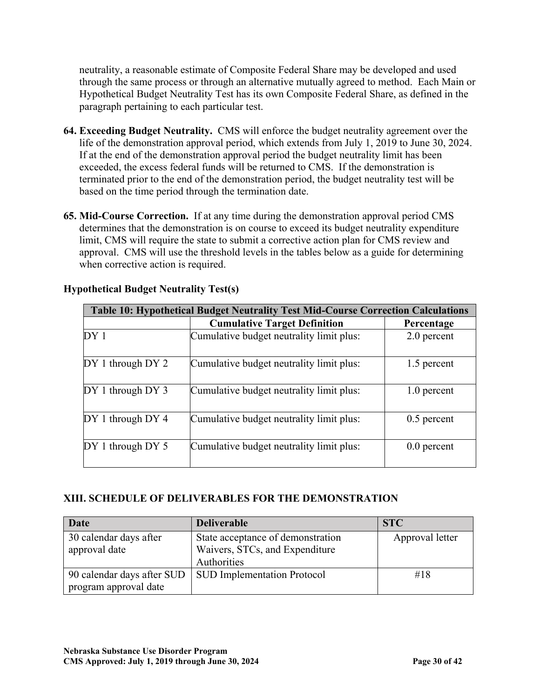neutrality, a reasonable estimate of Composite Federal Share may be developed and used through the same process or through an alternative mutually agreed to method. Each Main or Hypothetical Budget Neutrality Test has its own Composite Federal Share, as defined in the paragraph pertaining to each particular test.

- **64. Exceeding Budget Neutrality.** CMS will enforce the budget neutrality agreement over the life of the demonstration approval period, which extends from July 1, 2019 to June 30, 2024. If at the end of the demonstration approval period the budget neutrality limit has been exceeded, the excess federal funds will be returned to CMS. If the demonstration is terminated prior to the end of the demonstration period, the budget neutrality test will be based on the time period through the termination date.
- **65. Mid-Course Correction.** If at any time during the demonstration approval period CMS determines that the demonstration is on course to exceed its budget neutrality expenditure limit, CMS will require the state to submit a corrective action plan for CMS review and approval. CMS will use the threshold levels in the tables below as a guide for determining when corrective action is required.

|                       | <b>Table 10: Hypothetical Budget Neutrality Test Mid-Course Correction Calculations</b> |               |  |  |  |
|-----------------------|-----------------------------------------------------------------------------------------|---------------|--|--|--|
|                       | Percentage                                                                              |               |  |  |  |
| DY <sub>1</sub>       | Cumulative budget neutrality limit plus:                                                | 2.0 percent   |  |  |  |
| $DY 1$ through $DY 2$ | Cumulative budget neutrality limit plus:                                                | 1.5 percent   |  |  |  |
| $DY 1$ through $DY 3$ | Cumulative budget neutrality limit plus:                                                | 1.0 percent   |  |  |  |
| $DY 1$ through $DY 4$ | Cumulative budget neutrality limit plus:                                                | $0.5$ percent |  |  |  |
| $DY 1$ through DY 5   | Cumulative budget neutrality limit plus:                                                | $0.0$ percent |  |  |  |

# **Hypothetical Budget Neutrality Test(s)**

# **XIII. SCHEDULE OF DELIVERABLES FOR THE DEMONSTRATION**

| Date                       | <b>Deliverable</b>                 | <b>STC</b>      |
|----------------------------|------------------------------------|-----------------|
| 30 calendar days after     | State acceptance of demonstration  | Approval letter |
| approval date              | Waivers, STCs, and Expenditure     |                 |
|                            | Authorities                        |                 |
| 90 calendar days after SUD | <b>SUD Implementation Protocol</b> | #18             |
| program approval date      |                                    |                 |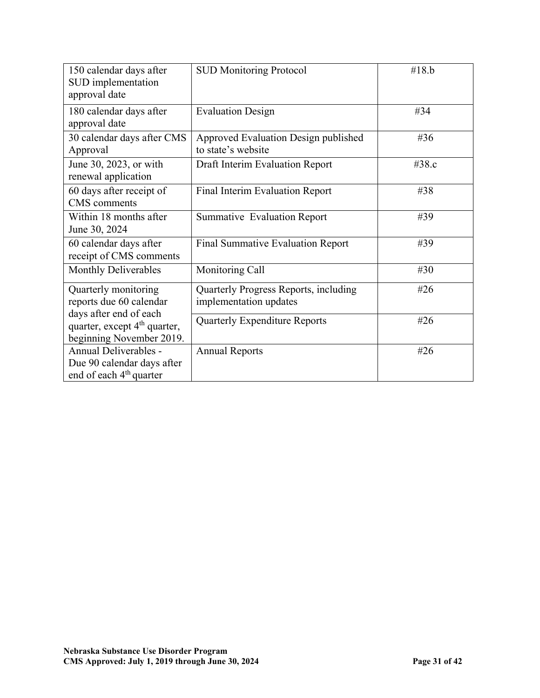| 150 calendar days after<br>SUD implementation<br>approval date                                 | <b>SUD Monitoring Protocol</b>                                  | #18.b |
|------------------------------------------------------------------------------------------------|-----------------------------------------------------------------|-------|
| 180 calendar days after<br>approval date                                                       | <b>Evaluation Design</b>                                        | #34   |
| 30 calendar days after CMS<br>Approval                                                         | Approved Evaluation Design published<br>to state's website      | #36   |
| June 30, 2023, or with<br>renewal application                                                  | Draft Interim Evaluation Report                                 | #38.c |
| 60 days after receipt of<br><b>CMS</b> comments                                                | Final Interim Evaluation Report                                 | #38   |
| Within 18 months after<br>June 30, 2024                                                        | Summative Evaluation Report                                     | #39   |
| 60 calendar days after<br>receipt of CMS comments                                              | Final Summative Evaluation Report                               | #39   |
| <b>Monthly Deliverables</b>                                                                    | Monitoring Call                                                 | #30   |
| Quarterly monitoring<br>reports due 60 calendar                                                | Quarterly Progress Reports, including<br>implementation updates | #26   |
| days after end of each<br>quarter, except 4 <sup>th</sup> quarter,<br>beginning November 2019. | <b>Quarterly Expenditure Reports</b>                            | #26   |
| Annual Deliverables -<br>Due 90 calendar days after<br>end of each 4 <sup>th</sup> quarter     | <b>Annual Reports</b>                                           | #26   |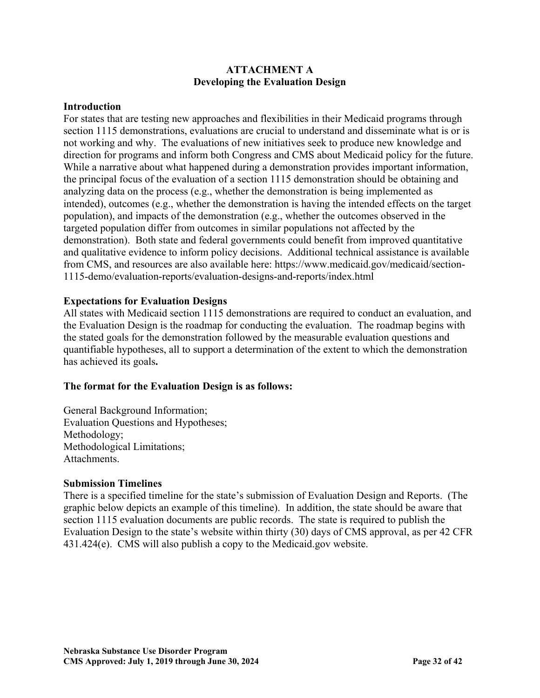## **ATTACHMENT A Developing the Evaluation Design**

#### **Introduction**

For states that are testing new approaches and flexibilities in their Medicaid programs through section 1115 demonstrations, evaluations are crucial to understand and disseminate what is or is not working and why. The evaluations of new initiatives seek to produce new knowledge and direction for programs and inform both Congress and CMS about Medicaid policy for the future. While a narrative about what happened during a demonstration provides important information, the principal focus of the evaluation of a section 1115 demonstration should be obtaining and analyzing data on the process (e.g., whether the demonstration is being implemented as intended), outcomes (e.g., whether the demonstration is having the intended effects on the target population), and impacts of the demonstration (e.g., whether the outcomes observed in the targeted population differ from outcomes in similar populations not affected by the demonstration). Both state and federal governments could benefit from improved quantitative and qualitative evidence to inform policy decisions. Additional technical assistance is available from CMS, and resources are also available here: https://www.medicaid.gov/medicaid/section-1115-demo/evaluation-reports/evaluation-designs-and-reports/index.html

### **Expectations for Evaluation Designs**

All states with Medicaid section 1115 demonstrations are required to conduct an evaluation, and the Evaluation Design is the roadmap for conducting the evaluation. The roadmap begins with the stated goals for the demonstration followed by the measurable evaluation questions and quantifiable hypotheses, all to support a determination of the extent to which the demonstration has achieved its goals**.** 

### **The format for the Evaluation Design is as follows:**

General Background Information; Evaluation Questions and Hypotheses; Methodology; Methodological Limitations; Attachments.

#### **Submission Timelines**

There is a specified timeline for the state's submission of Evaluation Design and Reports. (The graphic below depicts an example of this timeline). In addition, the state should be aware that section 1115 evaluation documents are public records. The state is required to publish the Evaluation Design to the state's website within thirty (30) days of CMS approval, as per 42 CFR 431.424(e). CMS will also publish a copy to the Medicaid.gov website.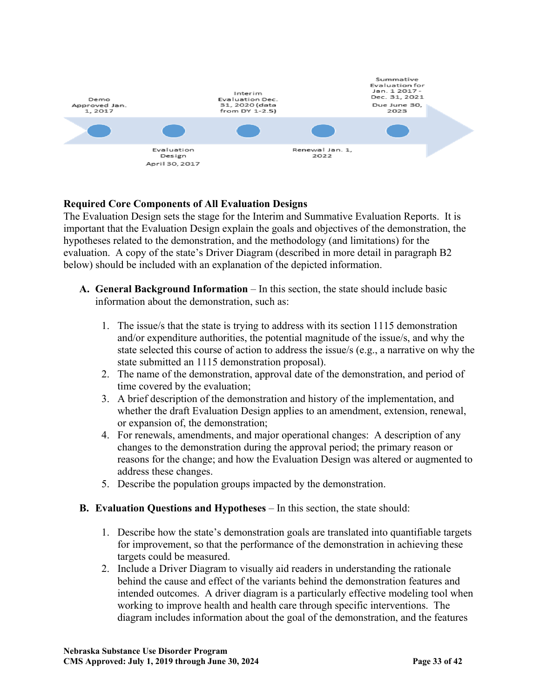

# **Required Core Components of All Evaluation Designs**

The Evaluation Design sets the stage for the Interim and Summative Evaluation Reports. It is important that the Evaluation Design explain the goals and objectives of the demonstration, the hypotheses related to the demonstration, and the methodology (and limitations) for the evaluation. A copy of the state's Driver Diagram (described in more detail in paragraph B2 below) should be included with an explanation of the depicted information.

- **A.** General Background Information In this section, the state should include basic information about the demonstration, such as:
	- 1. The issue/s that the state is trying to address with its section 1115 demonstration and/or expenditure authorities, the potential magnitude of the issue/s, and why the state selected this course of action to address the issue/s (e.g., a narrative on why the state submitted an 1115 demonstration proposal).
	- 2. The name of the demonstration, approval date of the demonstration, and period of time covered by the evaluation;
	- 3. A brief description of the demonstration and history of the implementation, and whether the draft Evaluation Design applies to an amendment, extension, renewal, or expansion of, the demonstration;
	- 4. For renewals, amendments, and major operational changes: A description of any changes to the demonstration during the approval period; the primary reason or reasons for the change; and how the Evaluation Design was altered or augmented to address these changes.
	- 5. Describe the population groups impacted by the demonstration.

### **B. Evaluation Questions and Hypotheses** – In this section, the state should:

- 1. Describe how the state's demonstration goals are translated into quantifiable targets for improvement, so that the performance of the demonstration in achieving these targets could be measured.
- 2. Include a Driver Diagram to visually aid readers in understanding the rationale behind the cause and effect of the variants behind the demonstration features and intended outcomes. A driver diagram is a particularly effective modeling tool when working to improve health and health care through specific interventions. The diagram includes information about the goal of the demonstration, and the features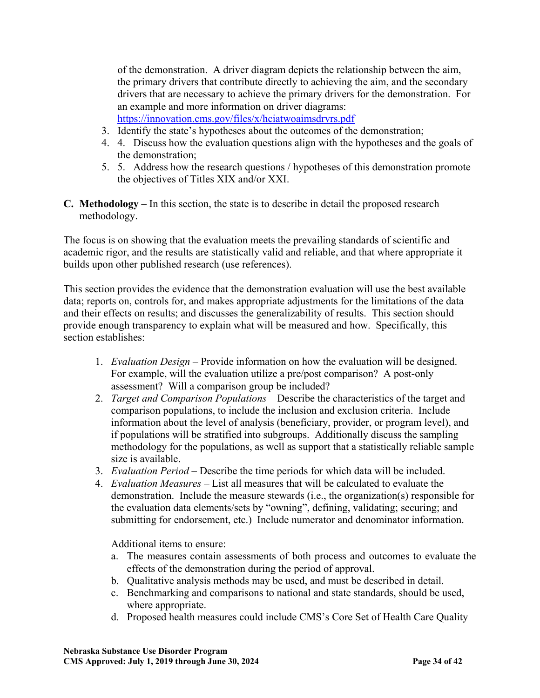of the demonstration. A driver diagram depicts the relationship between the aim, the primary drivers that contribute directly to achieving the aim, and the secondary drivers that are necessary to achieve the primary drivers for the demonstration. For an example and more information on driver diagrams: <https://innovation.cms.gov/files/x/hciatwoaimsdrvrs.pdf>

- 3. Identify the state's hypotheses about the outcomes of the demonstration;
- 4. 4. Discuss how the evaluation questions align with the hypotheses and the goals of the demonstration;
- 5. 5. Address how the research questions / hypotheses of this demonstration promote the objectives of Titles XIX and/or XXI.
- **C. Methodology** In this section, the state is to describe in detail the proposed research methodology.

The focus is on showing that the evaluation meets the prevailing standards of scientific and academic rigor, and the results are statistically valid and reliable, and that where appropriate it builds upon other published research (use references).

This section provides the evidence that the demonstration evaluation will use the best available data; reports on, controls for, and makes appropriate adjustments for the limitations of the data and their effects on results; and discusses the generalizability of results. This section should provide enough transparency to explain what will be measured and how. Specifically, this section establishes:

- 1. *Evaluation Design –* Provide information on how the evaluation will be designed. For example, will the evaluation utilize a pre/post comparison? A post-only assessment? Will a comparison group be included?
- 2. *Target and Comparison Populations* Describe the characteristics of the target and comparison populations, to include the inclusion and exclusion criteria. Include information about the level of analysis (beneficiary, provider, or program level), and if populations will be stratified into subgroups. Additionally discuss the sampling methodology for the populations, as well as support that a statistically reliable sample size is available.
- 3. *Evaluation Period –* Describe the time periods for which data will be included.
- 4. *Evaluation Measures –* List all measures that will be calculated to evaluate the demonstration. Include the measure stewards (i.e., the organization(s) responsible for the evaluation data elements/sets by "owning", defining, validating; securing; and submitting for endorsement, etc.) Include numerator and denominator information.

Additional items to ensure:

- a. The measures contain assessments of both process and outcomes to evaluate the effects of the demonstration during the period of approval.
- b. Qualitative analysis methods may be used, and must be described in detail.
- c. Benchmarking and comparisons to national and state standards, should be used, where appropriate.
- d. Proposed health measures could include CMS's Core Set of Health Care Quality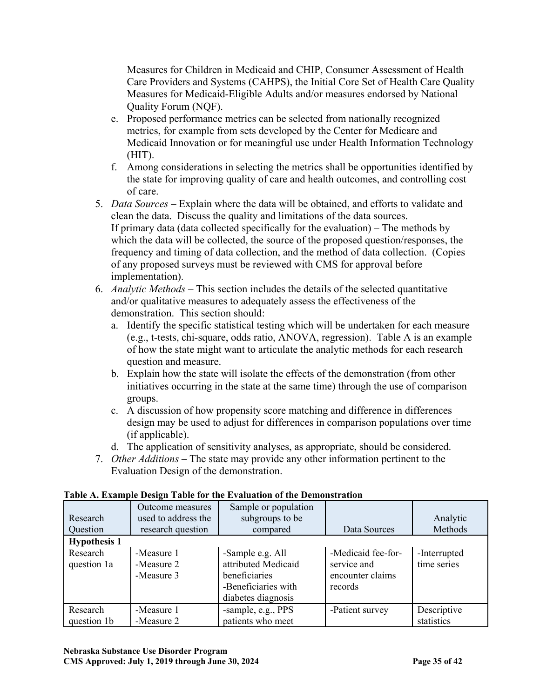Measures for Children in Medicaid and CHIP, Consumer Assessment of Health Care Providers and Systems (CAHPS), the Initial Core Set of Health Care Quality Measures for Medicaid-Eligible Adults and/or measures endorsed by National Quality Forum (NQF).

- e. Proposed performance metrics can be selected from nationally recognized metrics, for example from sets developed by the Center for Medicare and Medicaid Innovation or for meaningful use under Health Information Technology (HIT).
- f. Among considerations in selecting the metrics shall be opportunities identified by the state for improving quality of care and health outcomes, and controlling cost of care.
- 5. *Data Sources –* Explain where the data will be obtained, and efforts to validate and clean the data. Discuss the quality and limitations of the data sources. If primary data (data collected specifically for the evaluation) – The methods by which the data will be collected, the source of the proposed question/responses, the frequency and timing of data collection, and the method of data collection. (Copies of any proposed surveys must be reviewed with CMS for approval before implementation).
- 6. *Analytic Methods –* This section includes the details of the selected quantitative and/or qualitative measures to adequately assess the effectiveness of the demonstration. This section should:
	- a. Identify the specific statistical testing which will be undertaken for each measure (e.g., t-tests, chi-square, odds ratio, ANOVA, regression). Table A is an example of how the state might want to articulate the analytic methods for each research question and measure.
	- b. Explain how the state will isolate the effects of the demonstration (from other initiatives occurring in the state at the same time) through the use of comparison groups.
	- c. A discussion of how propensity score matching and difference in differences design may be used to adjust for differences in comparison populations over time (if applicable).
	- d. The application of sensitivity analyses, as appropriate, should be considered.
- 7. *Other Additions –* The state may provide any other information pertinent to the Evaluation Design of the demonstration.

| Research<br>Question    | Outcome measures<br>used to address the<br>research question | Sample or population<br>subgroups to be<br>compared                                                   | Data Sources                                                     | Analytic<br>Methods         |
|-------------------------|--------------------------------------------------------------|-------------------------------------------------------------------------------------------------------|------------------------------------------------------------------|-----------------------------|
| <b>Hypothesis 1</b>     |                                                              |                                                                                                       |                                                                  |                             |
| Research<br>question 1a | -Measure 1<br>-Measure 2<br>-Measure 3                       | -Sample e.g. All<br>attributed Medicaid<br>beneficiaries<br>-Beneficiaries with<br>diabetes diagnosis | -Medicaid fee-for-<br>service and<br>encounter claims<br>records | -Interrupted<br>time series |
| Research<br>question 1b | -Measure 1<br>-Measure 2                                     | -sample, e.g., PPS<br>patients who meet                                                               | -Patient survey                                                  | Descriptive<br>statistics   |

# **Table A. Example Design Table for the Evaluation of the Demonstration**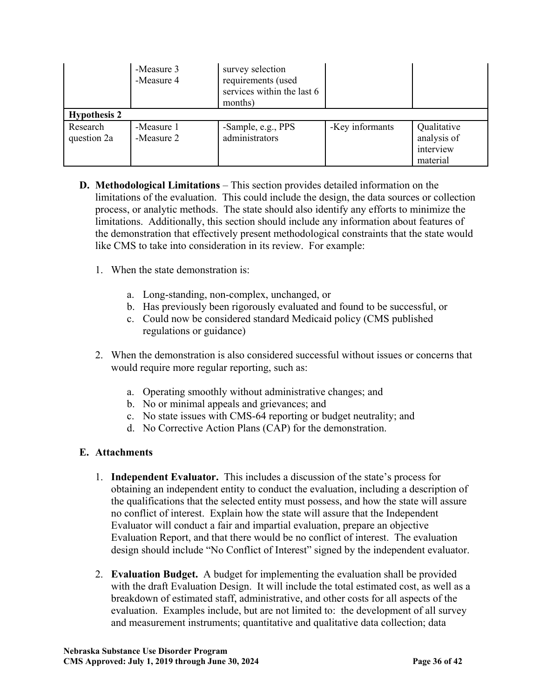|                         | -Measure 3<br>-Measure 4 | survey selection<br>requirements (used<br>services within the last 6<br>months) |                 |                                                     |  |  |  |
|-------------------------|--------------------------|---------------------------------------------------------------------------------|-----------------|-----------------------------------------------------|--|--|--|
| <b>Hypothesis 2</b>     |                          |                                                                                 |                 |                                                     |  |  |  |
| Research<br>question 2a | -Measure 1<br>-Measure 2 | -Sample, e.g., PPS<br>administrators                                            | -Key informants | Qualitative<br>analysis of<br>interview<br>material |  |  |  |

- **D. Methodological Limitations** This section provides detailed information on the limitations of the evaluation. This could include the design, the data sources or collection process, or analytic methods. The state should also identify any efforts to minimize the limitations. Additionally, this section should include any information about features of the demonstration that effectively present methodological constraints that the state would like CMS to take into consideration in its review. For example:
	- 1. When the state demonstration is:
		- a. Long-standing, non-complex, unchanged, or
		- b. Has previously been rigorously evaluated and found to be successful, or
		- c. Could now be considered standard Medicaid policy (CMS published regulations or guidance)
	- 2. When the demonstration is also considered successful without issues or concerns that would require more regular reporting, such as:
		- a. Operating smoothly without administrative changes; and
		- b. No or minimal appeals and grievances; and
		- c. No state issues with CMS-64 reporting or budget neutrality; and
		- d. No Corrective Action Plans (CAP) for the demonstration.

# **E. Attachments**

- 1. **Independent Evaluator.** This includes a discussion of the state's process for obtaining an independent entity to conduct the evaluation, including a description of the qualifications that the selected entity must possess, and how the state will assure no conflict of interest. Explain how the state will assure that the Independent Evaluator will conduct a fair and impartial evaluation, prepare an objective Evaluation Report, and that there would be no conflict of interest. The evaluation design should include "No Conflict of Interest" signed by the independent evaluator.
- 2. **Evaluation Budget.** A budget for implementing the evaluation shall be provided with the draft Evaluation Design. It will include the total estimated cost, as well as a breakdown of estimated staff, administrative, and other costs for all aspects of the evaluation. Examples include, but are not limited to: the development of all survey and measurement instruments; quantitative and qualitative data collection; data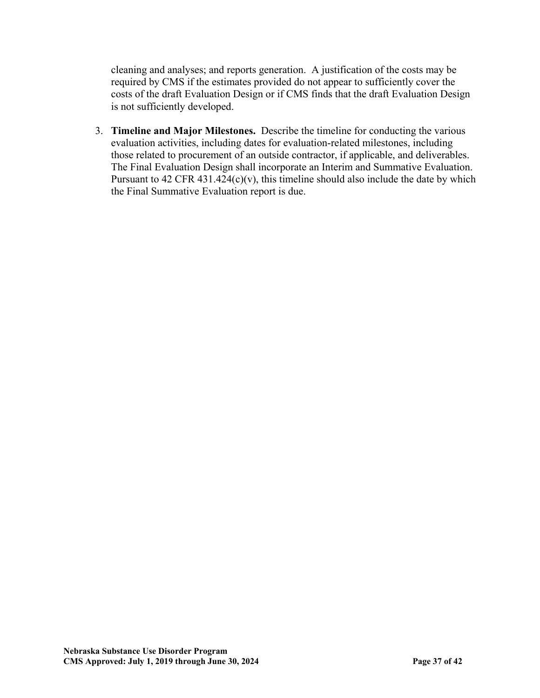cleaning and analyses; and reports generation. A justification of the costs may be required by CMS if the estimates provided do not appear to sufficiently cover the costs of the draft Evaluation Design or if CMS finds that the draft Evaluation Design is not sufficiently developed.

3. **Timeline and Major Milestones.** Describe the timeline for conducting the various evaluation activities, including dates for evaluation-related milestones, including those related to procurement of an outside contractor, if applicable, and deliverables. The Final Evaluation Design shall incorporate an Interim and Summative Evaluation. Pursuant to 42 CFR 431.424 $(c)(v)$ , this timeline should also include the date by which the Final Summative Evaluation report is due.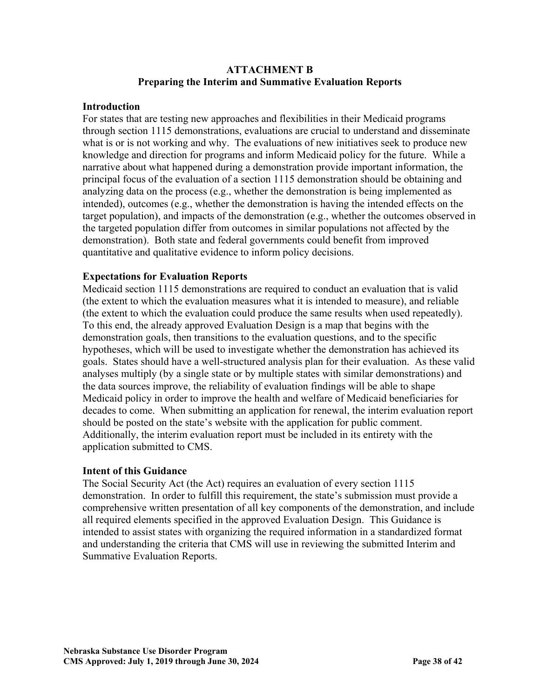### **ATTACHMENT B Preparing the Interim and Summative Evaluation Reports**

### **Introduction**

For states that are testing new approaches and flexibilities in their Medicaid programs through section 1115 demonstrations, evaluations are crucial to understand and disseminate what is or is not working and why. The evaluations of new initiatives seek to produce new knowledge and direction for programs and inform Medicaid policy for the future. While a narrative about what happened during a demonstration provide important information, the principal focus of the evaluation of a section 1115 demonstration should be obtaining and analyzing data on the process (e.g., whether the demonstration is being implemented as intended), outcomes (e.g., whether the demonstration is having the intended effects on the target population), and impacts of the demonstration (e.g., whether the outcomes observed in the targeted population differ from outcomes in similar populations not affected by the demonstration). Both state and federal governments could benefit from improved quantitative and qualitative evidence to inform policy decisions.

## **Expectations for Evaluation Reports**

Medicaid section 1115 demonstrations are required to conduct an evaluation that is valid (the extent to which the evaluation measures what it is intended to measure), and reliable (the extent to which the evaluation could produce the same results when used repeatedly). To this end, the already approved Evaluation Design is a map that begins with the demonstration goals, then transitions to the evaluation questions, and to the specific hypotheses, which will be used to investigate whether the demonstration has achieved its goals. States should have a well-structured analysis plan for their evaluation. As these valid analyses multiply (by a single state or by multiple states with similar demonstrations) and the data sources improve, the reliability of evaluation findings will be able to shape Medicaid policy in order to improve the health and welfare of Medicaid beneficiaries for decades to come. When submitting an application for renewal, the interim evaluation report should be posted on the state's website with the application for public comment. Additionally, the interim evaluation report must be included in its entirety with the application submitted to CMS.

## **Intent of this Guidance**

The Social Security Act (the Act) requires an evaluation of every section 1115 demonstration. In order to fulfill this requirement, the state's submission must provide a comprehensive written presentation of all key components of the demonstration, and include all required elements specified in the approved Evaluation Design. This Guidance is intended to assist states with organizing the required information in a standardized format and understanding the criteria that CMS will use in reviewing the submitted Interim and Summative Evaluation Reports.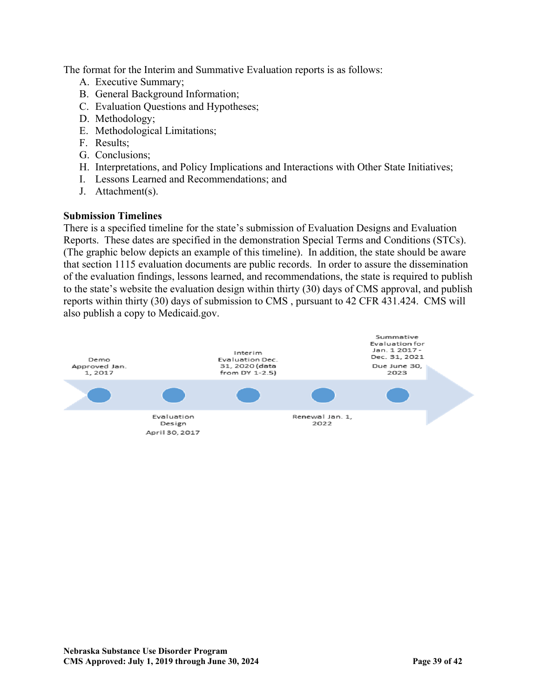The format for the Interim and Summative Evaluation reports is as follows:

- A. Executive Summary;
- B. General Background Information;
- C. Evaluation Questions and Hypotheses;
- D. Methodology;
- E. Methodological Limitations;
- F. Results;
- G. Conclusions;
- H. Interpretations, and Policy Implications and Interactions with Other State Initiatives;
- I. Lessons Learned and Recommendations; and
- J. Attachment(s).

### **Submission Timelines**

There is a specified timeline for the state's submission of Evaluation Designs and Evaluation Reports. These dates are specified in the demonstration Special Terms and Conditions (STCs). (The graphic below depicts an example of this timeline). In addition, the state should be aware that section 1115 evaluation documents are public records. In order to assure the dissemination of the evaluation findings, lessons learned, and recommendations, the state is required to publish to the state's website the evaluation design within thirty (30) days of CMS approval, and publish reports within thirty (30) days of submission to CMS , pursuant to 42 CFR 431.424. CMS will also publish a copy to Medicaid.gov.

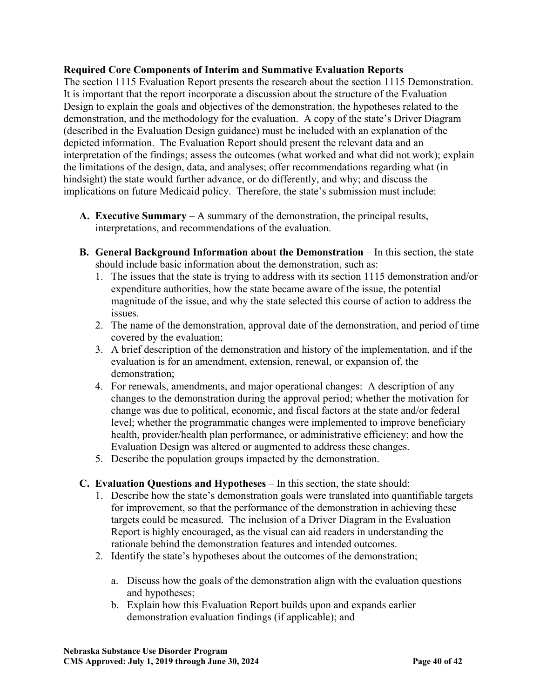### **Required Core Components of Interim and Summative Evaluation Reports**

The section 1115 Evaluation Report presents the research about the section 1115 Demonstration. It is important that the report incorporate a discussion about the structure of the Evaluation Design to explain the goals and objectives of the demonstration, the hypotheses related to the demonstration, and the methodology for the evaluation. A copy of the state's Driver Diagram (described in the Evaluation Design guidance) must be included with an explanation of the depicted information. The Evaluation Report should present the relevant data and an interpretation of the findings; assess the outcomes (what worked and what did not work); explain the limitations of the design, data, and analyses; offer recommendations regarding what (in hindsight) the state would further advance, or do differently, and why; and discuss the implications on future Medicaid policy. Therefore, the state's submission must include:

- **A. Executive Summary**  A summary of the demonstration, the principal results, interpretations, and recommendations of the evaluation.
- **B.** General Background Information about the Demonstration In this section, the state should include basic information about the demonstration, such as:
	- 1. The issues that the state is trying to address with its section 1115 demonstration and/or expenditure authorities, how the state became aware of the issue, the potential magnitude of the issue, and why the state selected this course of action to address the issues.
	- 2. The name of the demonstration, approval date of the demonstration, and period of time covered by the evaluation;
	- 3. A brief description of the demonstration and history of the implementation, and if the evaluation is for an amendment, extension, renewal, or expansion of, the demonstration;
	- 4. For renewals, amendments, and major operational changes: A description of any changes to the demonstration during the approval period; whether the motivation for change was due to political, economic, and fiscal factors at the state and/or federal level; whether the programmatic changes were implemented to improve beneficiary health, provider/health plan performance, or administrative efficiency; and how the Evaluation Design was altered or augmented to address these changes.
	- 5. Describe the population groups impacted by the demonstration.
- **C. Evaluation Questions and Hypotheses** In this section, the state should:
	- 1. Describe how the state's demonstration goals were translated into quantifiable targets for improvement, so that the performance of the demonstration in achieving these targets could be measured. The inclusion of a Driver Diagram in the Evaluation Report is highly encouraged, as the visual can aid readers in understanding the rationale behind the demonstration features and intended outcomes.
	- 2. Identify the state's hypotheses about the outcomes of the demonstration;
		- a. Discuss how the goals of the demonstration align with the evaluation questions and hypotheses;
		- b. Explain how this Evaluation Report builds upon and expands earlier demonstration evaluation findings (if applicable); and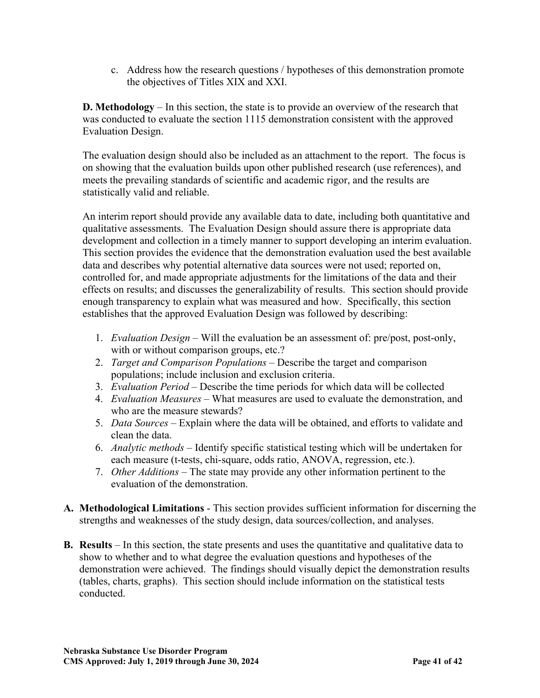c. Address how the research questions / hypotheses of this demonstration promote the objectives of Titles XIX and XXI.

**D. Methodology** – In this section, the state is to provide an overview of the research that was conducted to evaluate the section 1115 demonstration consistent with the approved Evaluation Design.

The evaluation design should also be included as an attachment to the report. The focus is on showing that the evaluation builds upon other published research (use references), and meets the prevailing standards of scientific and academic rigor, and the results are statistically valid and reliable.

An interim report should provide any available data to date, including both quantitative and qualitative assessments. The Evaluation Design should assure there is appropriate data development and collection in a timely manner to support developing an interim evaluation. This section provides the evidence that the demonstration evaluation used the best available data and describes why potential alternative data sources were not used; reported on, controlled for, and made appropriate adjustments for the limitations of the data and their effects on results; and discusses the generalizability of results. This section should provide enough transparency to explain what was measured and how. Specifically, this section establishes that the approved Evaluation Design was followed by describing:

- 1. *Evaluation Design* Will the evaluation be an assessment of: pre/post, post-only, with or without comparison groups, etc.?
- 2. *Target and Comparison Populations* Describe the target and comparison populations; include inclusion and exclusion criteria.
- 3. *Evaluation Period*  Describe the time periods for which data will be collected
- 4. *Evaluation Measures*  What measures are used to evaluate the demonstration, and who are the measure stewards?
- 5. *Data Sources* Explain where the data will be obtained, and efforts to validate and clean the data.
- 6. *Analytic methods* Identify specific statistical testing which will be undertaken for each measure (t-tests, chi-square, odds ratio, ANOVA, regression, etc.).
- 7. *Other Additions* The state may provide any other information pertinent to the evaluation of the demonstration.
- **A. Methodological Limitations**  This section provides sufficient information for discerning the strengths and weaknesses of the study design, data sources/collection, and analyses.
- **B. Results** In this section, the state presents and uses the quantitative and qualitative data to show to whether and to what degree the evaluation questions and hypotheses of the demonstration were achieved. The findings should visually depict the demonstration results (tables, charts, graphs). This section should include information on the statistical tests conducted.